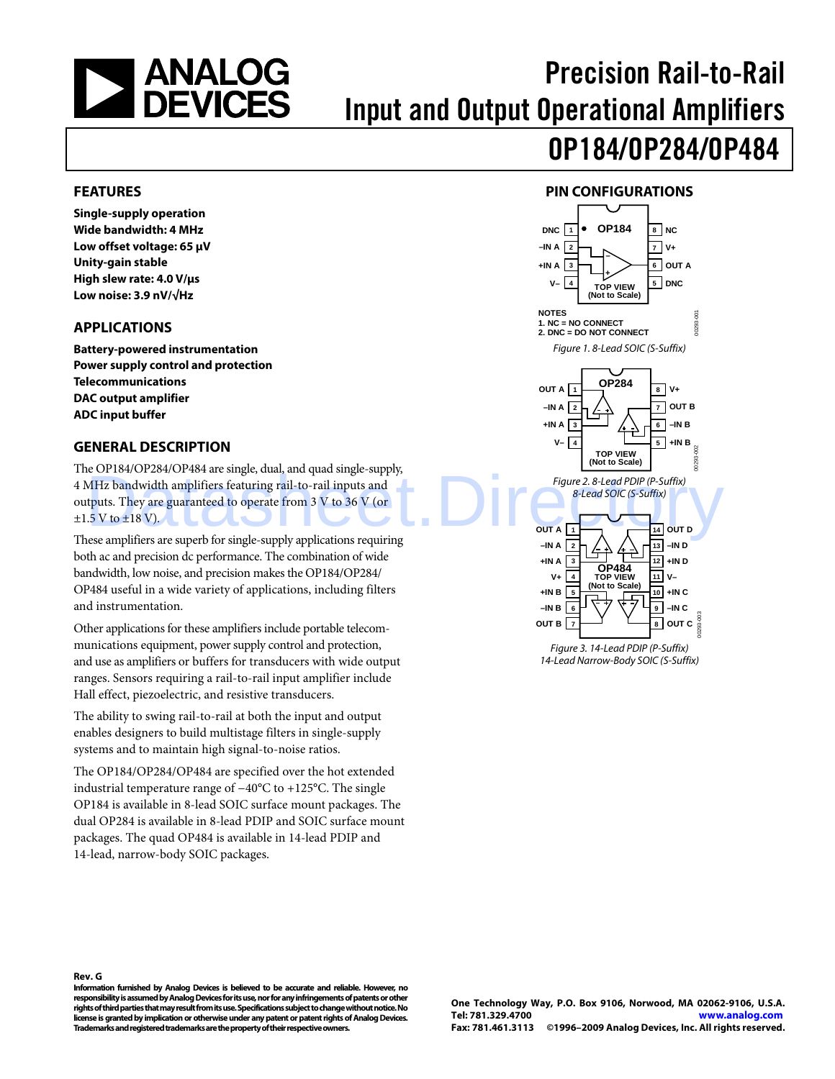<span id="page-0-0"></span>

# Precision Rail-to-Rail Input and Output Operational Amplifiers

# OP184/OP284/OP484

### **FEATURES**

**Single-supply operation Wide bandwidth: 4 MHz Low offset voltage: 65 μV Unity-gain stable High slew rate: 4.0 V/μs Low noise: 3.9 nV/√Hz** 

### **APPLICATIONS**

**Battery-powered instrumentation Power supply control and protection Telecommunications DAC output amplifier ADC input buffer** 

### **GENERAL DESCRIPTION**

The OP184/OP284/OP484 are single, dual, and quad single-supply, 4 MHz bandwidth amplifiers featuring rail-to-rail inputs and outputs. They are guaranteed to operate from 3 V to 36 V (or  $\pm 1.5$  V to  $\pm 18$  V). Example 2.8-Lead PDIP (P-Suffix)<br>
MHz bandwidth amplifiers featuring rail-to-rail inputs and<br>
thuts. They are guaranteed to operate from 3 V to 36 V (or<br>  $5V$  to  $\pm 18$  V).

These amplifiers are superb for single-supply applications requiring both ac and precision dc performance. The combination of wide bandwidth, low noise, and precision makes the OP184/OP284/ OP484 useful in a wide variety of applications, including filters and instrumentation.

Other applications for these amplifiers include portable telecommunications equipment, power supply control and protection, and use as amplifiers or buffers for transducers with wide output ranges. Sensors requiring a rail-to-rail input amplifier include Hall effect, piezoelectric, and resistive transducers.

The ability to swing rail-to-rail at both the input and output enables designers to build multistage filters in single-supply systems and to maintain high signal-to-noise ratios.

The OP184/OP284/OP484 are specified over the hot extended industrial temperature range of −40°C to +125°C. The single OP184 is available in 8-lead SOIC surface mount packages. The dual OP284 is available in 8-lead PDIP and SOIC surface mount packages. The quad OP484 is available in 14-lead PDIP and 14-lead, narrow-body SOIC packages.

### **PIN CONFIGURATIONS**



14-Lead Narrow-Body SOIC (S-Suffix)

#### **Rev. G**

**Information furnished by Analog Devices is believed to be accurate and reliable. However, no responsibility is assumed by Analog Devices for its use, nor for any infringements of patents or other rights of third parties that may result from its use. Specifications subject to change without notice. No license is granted by implication or otherwise under any patent or patent rights of Analog Devices. Trademarks and registered trademarks are the property of their respective owners.**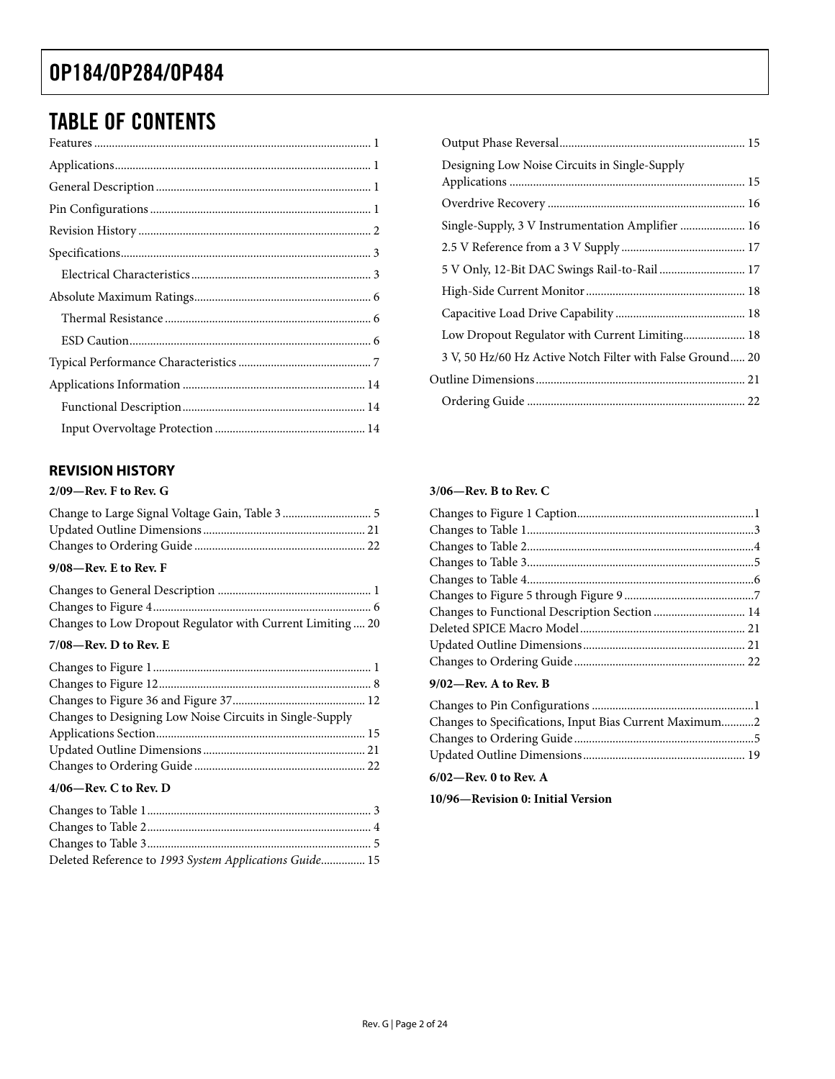# <span id="page-1-0"></span>TABLE OF CONTENTS

### **REVISION HISTORY**

#### **2/09—Rev. F to Rev. G**

| $9/08$ —Rev. E to Rev. F |  |
|--------------------------|--|

| Changes to Low Dropout Regulator with Current Limiting 20 |  |
|-----------------------------------------------------------|--|

#### **7/08—Rev. D to Rev. E**

| Changes to Designing Low Noise Circuits in Single-Supply |  |
|----------------------------------------------------------|--|
|                                                          |  |
|                                                          |  |
|                                                          |  |
| $\mathbf{a}$                                             |  |

### **4/06—Rev. C to Rev. D**

| Deleted Reference to 1993 System Applications Guide 15 |  |
|--------------------------------------------------------|--|

| Designing Low Noise Circuits in Single-Supply             |  |
|-----------------------------------------------------------|--|
|                                                           |  |
| Single-Supply, 3 V Instrumentation Amplifier  16          |  |
|                                                           |  |
| 5 V Only, 12-Bit DAC Swings Rail-to-Rail 17               |  |
|                                                           |  |
|                                                           |  |
| Low Dropout Regulator with Current Limiting 18            |  |
| 3 V, 50 Hz/60 Hz Active Notch Filter with False Ground 20 |  |
|                                                           |  |
|                                                           |  |

#### **3/06—Rev. B to Rev. C**

#### **9/02—Rev. A to Rev. B**

| Changes to Specifications, Input Bias Current Maximum2 |  |
|--------------------------------------------------------|--|
|                                                        |  |
|                                                        |  |

#### **6/02—Rev. 0 to Rev. A**

**10/96—Revision 0: Initial Version**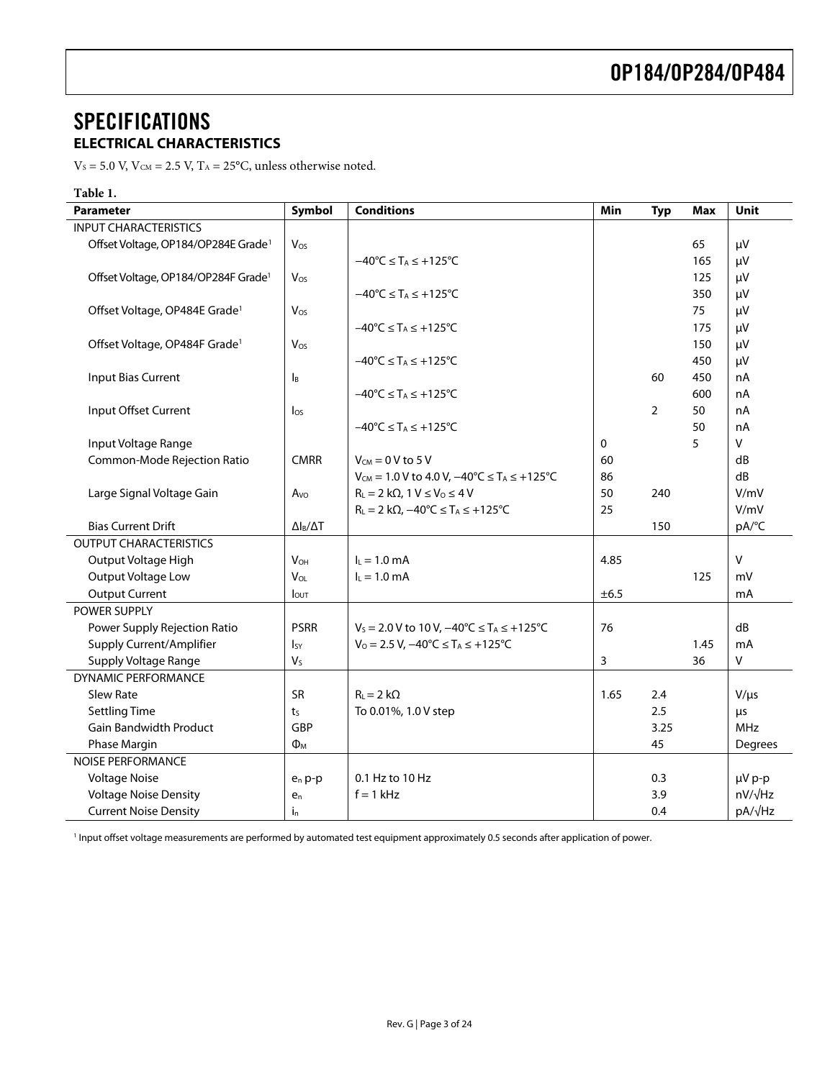### <span id="page-2-0"></span>**SPECIFICATIONS ELECTRICAL CHARACTERISTICS**

 $V_s$  = 5.0 V,  $V_{CM}$  = 2.5 V,  $T_A$  = 25°C, unless otherwise noted.

| <b>Conditions</b><br>Symbol<br>Unit<br><b>Parameter</b><br>Min<br><b>Typ</b><br><b>Max</b><br><b>INPUT CHARACTERISTICS</b><br>Offset Voltage, OP184/OP284E Grade <sup>1</sup><br>65<br>μV<br>Vos<br>$-40^{\circ}$ C $\leq$ T <sub>A</sub> $\leq$ +125 $^{\circ}$ C<br>165<br>μV<br>Offset Voltage, OP184/OP284F Grade <sup>1</sup><br>125<br>μV<br>Vos<br>$-40^{\circ}C \leq T_A \leq +125^{\circ}C$<br>350<br>μV<br>Offset Voltage, OP484E Grade <sup>1</sup><br>75<br>Vos<br>μV<br>$-40^{\circ}C \leq T_A \leq +125^{\circ}C$<br>175<br>μV |
|----------------------------------------------------------------------------------------------------------------------------------------------------------------------------------------------------------------------------------------------------------------------------------------------------------------------------------------------------------------------------------------------------------------------------------------------------------------------------------------------------------------------------------------------|
|                                                                                                                                                                                                                                                                                                                                                                                                                                                                                                                                              |
|                                                                                                                                                                                                                                                                                                                                                                                                                                                                                                                                              |
|                                                                                                                                                                                                                                                                                                                                                                                                                                                                                                                                              |
|                                                                                                                                                                                                                                                                                                                                                                                                                                                                                                                                              |
|                                                                                                                                                                                                                                                                                                                                                                                                                                                                                                                                              |
|                                                                                                                                                                                                                                                                                                                                                                                                                                                                                                                                              |
|                                                                                                                                                                                                                                                                                                                                                                                                                                                                                                                                              |
|                                                                                                                                                                                                                                                                                                                                                                                                                                                                                                                                              |
| Offset Voltage, OP484F Grade <sup>1</sup><br>Vos<br>150<br>μV                                                                                                                                                                                                                                                                                                                                                                                                                                                                                |
| $-40^{\circ}$ C $\leq$ T <sub>A</sub> $\leq$ +125 $^{\circ}$ C<br>450<br>μV                                                                                                                                                                                                                                                                                                                                                                                                                                                                  |
| <b>Input Bias Current</b><br>450<br>60<br>nA<br>l <sub>B</sub>                                                                                                                                                                                                                                                                                                                                                                                                                                                                               |
| $-40^{\circ}$ C $\leq$ T <sub>A</sub> $\leq$ +125 $^{\circ}$ C<br>600<br>nA                                                                                                                                                                                                                                                                                                                                                                                                                                                                  |
| Input Offset Current<br>$\overline{2}$<br>50<br>nA<br>$\log$                                                                                                                                                                                                                                                                                                                                                                                                                                                                                 |
| 50<br>$-40^{\circ}$ C $\leq$ T <sub>A</sub> $\leq$ +125 $^{\circ}$ C<br>nA                                                                                                                                                                                                                                                                                                                                                                                                                                                                   |
| 5<br>$\mathsf{V}$<br>$\mathbf 0$<br>Input Voltage Range                                                                                                                                                                                                                                                                                                                                                                                                                                                                                      |
| Common-Mode Rejection Ratio<br><b>CMRR</b><br>$V_{CM} = 0 V$ to 5 V<br>60<br>dB                                                                                                                                                                                                                                                                                                                                                                                                                                                              |
| dB<br>$V_{CM} = 1.0 V$ to 4.0 V, $-40^{\circ}C \le T_A \le +125^{\circ}C$<br>86                                                                                                                                                                                                                                                                                                                                                                                                                                                              |
| 50<br>V/mV<br>Large Signal Voltage Gain<br>$R_L = 2 k\Omega$ , 1 $V \leq V_0 \leq 4 V$<br>240<br>Avo                                                                                                                                                                                                                                                                                                                                                                                                                                         |
| 25<br>V/mV<br>$R_L = 2 k\Omega$ , $-40^{\circ}C \leq T_A \leq +125^{\circ}C$                                                                                                                                                                                                                                                                                                                                                                                                                                                                 |
| <b>Bias Current Drift</b><br>150<br>pA/°C<br>$\Delta$ l <sub>B</sub> / $\Delta$ T                                                                                                                                                                                                                                                                                                                                                                                                                                                            |
| <b>OUTPUT CHARACTERISTICS</b>                                                                                                                                                                                                                                                                                                                                                                                                                                                                                                                |
| $\vee$<br>Output Voltage High<br>$I_L = 1.0$ mA<br>4.85<br><b>V<sub>OH</sub></b>                                                                                                                                                                                                                                                                                                                                                                                                                                                             |
| Output Voltage Low<br>VOL<br>$I_L = 1.0$ mA<br>125<br>mV                                                                                                                                                                                                                                                                                                                                                                                                                                                                                     |
| ±6.5<br><b>Output Current</b><br>mA<br>lout                                                                                                                                                                                                                                                                                                                                                                                                                                                                                                  |
| POWER SUPPLY                                                                                                                                                                                                                                                                                                                                                                                                                                                                                                                                 |
| <b>PSRR</b><br>dB<br>76<br>Power Supply Rejection Ratio<br>$V_s = 2.0 V$ to 10 V, $-40^{\circ}C \le T_A \le +125^{\circ}C$                                                                                                                                                                                                                                                                                                                                                                                                                   |
| Supply Current/Amplifier<br>$V_0 = 2.5 V$ , $-40^{\circ}C \leq T_A \leq +125^{\circ}C$<br>1.45<br>mA<br>Isy                                                                                                                                                                                                                                                                                                                                                                                                                                  |
| Supply Voltage Range<br>$\sf V$<br>V <sub>S</sub><br>3<br>36                                                                                                                                                                                                                                                                                                                                                                                                                                                                                 |
| <b>DYNAMIC PERFORMANCE</b>                                                                                                                                                                                                                                                                                                                                                                                                                                                                                                                   |
| Slew Rate<br><b>SR</b><br>$R_{L} = 2 k\Omega$<br>1.65<br>$V/\mu s$<br>2.4                                                                                                                                                                                                                                                                                                                                                                                                                                                                    |
| 2.5<br><b>Settling Time</b><br>To 0.01%, 1.0 V step<br>t <sub>S</sub><br>μs                                                                                                                                                                                                                                                                                                                                                                                                                                                                  |
| <b>Gain Bandwidth Product</b><br>GBP<br>3.25<br><b>MHz</b>                                                                                                                                                                                                                                                                                                                                                                                                                                                                                   |
| Phase Margin<br>45<br>$\Phi_{\text{M}}$<br>Degrees                                                                                                                                                                                                                                                                                                                                                                                                                                                                                           |
| <b>NOISE PERFORMANCE</b>                                                                                                                                                                                                                                                                                                                                                                                                                                                                                                                     |
| <b>Voltage Noise</b><br>µV p-p<br>0.1 Hz to 10 Hz<br>0.3<br>$e_n$ p-p                                                                                                                                                                                                                                                                                                                                                                                                                                                                        |
| $nV/\sqrt{Hz}$<br><b>Voltage Noise Density</b><br>$f = 1$ kHz<br>3.9<br>e <sub>n</sub>                                                                                                                                                                                                                                                                                                                                                                                                                                                       |
| pA/√Hz<br><b>Current Noise Density</b><br>0.4<br>$i_{n}$                                                                                                                                                                                                                                                                                                                                                                                                                                                                                     |

<sup>1</sup> Input offset voltage measurements are performed by automated test equipment approximately 0.5 seconds after application of power.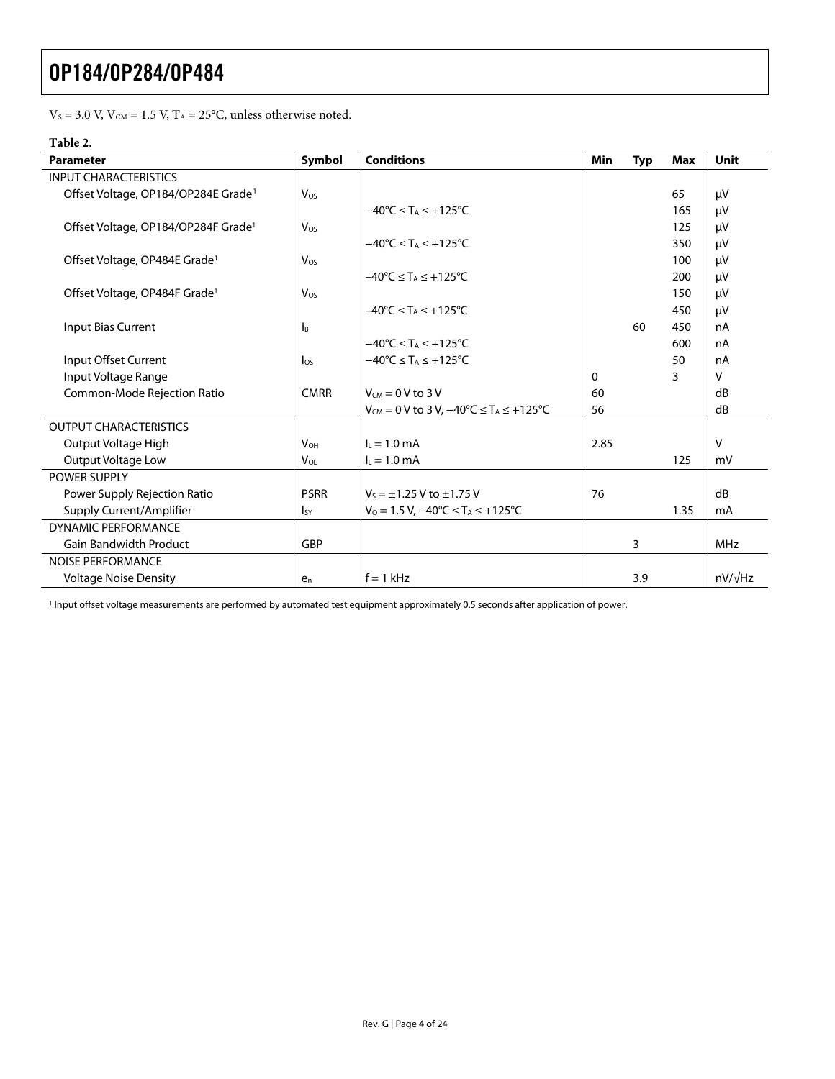$\rm V_S$  = 3.0 V,  $\rm V_{\rm CM}$  = 1.5 V,  $\rm T_A$  = 25°C, unless otherwise noted.

### **Table 2.**

| <b>Parameter</b>                                | Symbol                    | <b>Conditions</b>                                               | Min      | <b>Typ</b> | <b>Max</b> | Unit           |
|-------------------------------------------------|---------------------------|-----------------------------------------------------------------|----------|------------|------------|----------------|
| <b>INPUT CHARACTERISTICS</b>                    |                           |                                                                 |          |            |            |                |
| Offset Voltage, OP184/OP284E Grade <sup>1</sup> | Vos                       |                                                                 |          |            | 65         | μV             |
|                                                 |                           | $-40^{\circ}$ C $\leq$ T <sub>A</sub> $\leq$ +125°C             |          |            | 165        | μV             |
| Offset Voltage, OP184/OP284F Grade <sup>1</sup> | Vos                       |                                                                 |          |            | 125        | μV             |
|                                                 |                           | $-40^{\circ}$ C $\leq$ T <sub>A</sub> $\leq$ +125°C             |          |            | 350        | μV             |
| Offset Voltage, OP484E Grade <sup>1</sup>       | Vos                       |                                                                 |          |            | 100        | μV             |
|                                                 |                           | $-40^{\circ}C \leq T_A \leq +125^{\circ}C$                      |          |            | 200        | μV             |
| Offset Voltage, OP484F Grade <sup>1</sup>       | Vos                       |                                                                 |          |            | 150        | μV             |
|                                                 |                           | $-40^{\circ}$ C $\leq$ T <sub>A</sub> $\leq$ +125 $^{\circ}$ C  |          |            | 450        | μV             |
| Input Bias Current                              | $\mathsf{I}_{\mathsf{B}}$ |                                                                 |          | 60         | 450        | nA             |
|                                                 |                           | $-40^{\circ}$ C $\leq$ T <sub>A</sub> $\leq$ +125°C             |          |            | 600        | nA             |
| Input Offset Current                            | $\log$                    | $-40^{\circ}$ C $\leq$ T <sub>A</sub> $\leq$ +125 $^{\circ}$ C  |          |            | 50         | nA             |
| Input Voltage Range                             |                           |                                                                 | $\Omega$ |            | 3          | v              |
| Common-Mode Rejection Ratio                     | <b>CMRR</b>               | $V_{CM} = 0 V$ to 3 V                                           | 60       |            |            | dB             |
|                                                 |                           | $V_{CM} = 0$ V to 3 V, $-40^{\circ}C \le T_A \le +125^{\circ}C$ | 56       |            |            | dB             |
| <b>OUTPUT CHARACTERISTICS</b>                   |                           |                                                                 |          |            |            |                |
| Output Voltage High                             | <b>V<sub>OH</sub></b>     | $I_1 = 1.0$ mA                                                  | 2.85     |            |            | $\vee$         |
| <b>Output Voltage Low</b>                       | <b>V<sub>OL</sub></b>     | $I_L = 1.0$ mA                                                  |          |            | 125        | mV             |
| <b>POWER SUPPLY</b>                             |                           |                                                                 |          |            |            |                |
| Power Supply Rejection Ratio                    | <b>PSRR</b>               | $V_5 = \pm 1.25$ V to $\pm 1.75$ V                              | 76       |            |            | dB             |
| Supply Current/Amplifier                        | <sub>Isy</sub>            | $V_0 = 1.5 V$ , $-40^{\circ}C \leq T_A \leq +125^{\circ}C$      |          |            | 1.35       | mA             |
| DYNAMIC PERFORMANCE                             |                           |                                                                 |          |            |            |                |
| <b>Gain Bandwidth Product</b>                   | <b>GBP</b>                |                                                                 |          | 3          |            | <b>MHz</b>     |
| <b>NOISE PERFORMANCE</b>                        |                           |                                                                 |          |            |            |                |
| <b>Voltage Noise Density</b>                    | $e_n$                     | $f = 1$ kHz                                                     |          | 3.9        |            | $nV/\sqrt{Hz}$ |

<sup>1</sup> Input offset voltage measurements are performed by automated test equipment approximately 0.5 seconds after application of power.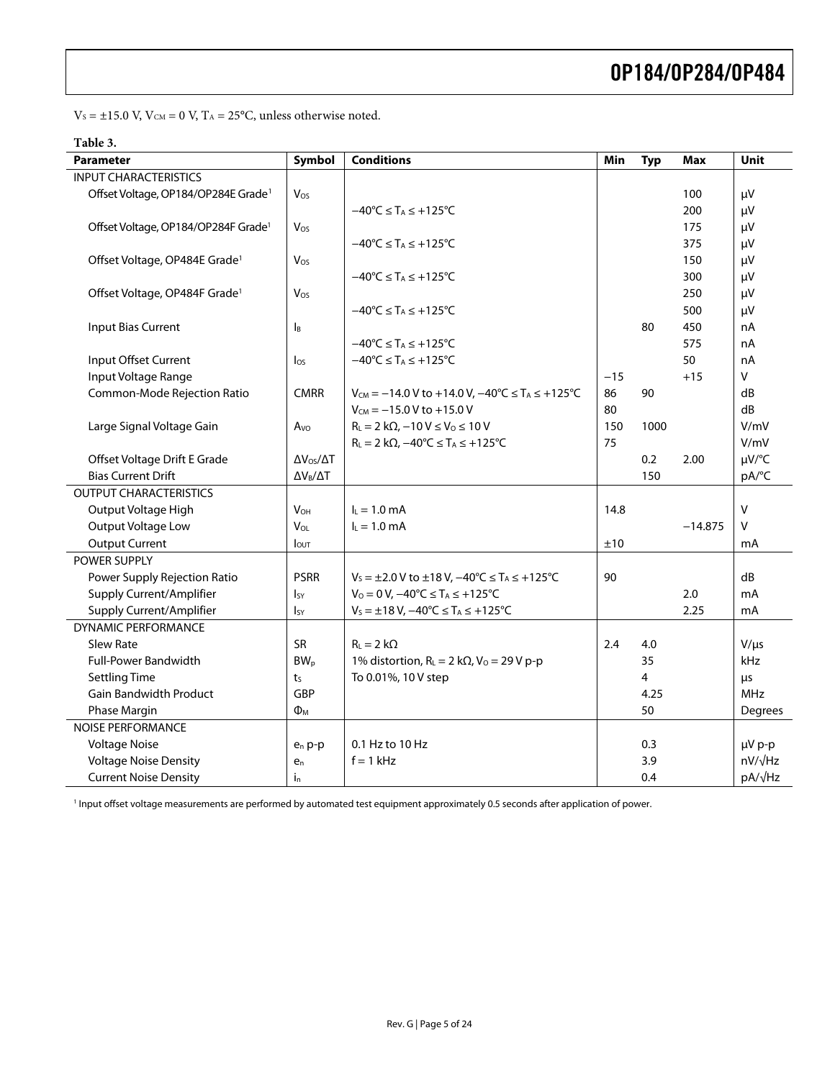$\rm V_S$  =  $\pm 15.0$  V,  $\rm V_{\rm CM}$  = 0 V,  $\rm T_A$  = 25°C, unless otherwise noted.

| able |
|------|
|------|

| <b>Parameter</b>                                | Symbol                    | <b>Conditions</b>                                                             | Min   | <b>Typ</b> | Max       | Unit           |
|-------------------------------------------------|---------------------------|-------------------------------------------------------------------------------|-------|------------|-----------|----------------|
| <b>INPUT CHARACTERISTICS</b>                    |                           |                                                                               |       |            |           |                |
| Offset Voltage, OP184/OP284E Grade <sup>1</sup> | Vos                       |                                                                               |       |            | 100       | μV             |
|                                                 |                           | $-40^{\circ}$ C $\leq$ T <sub>A</sub> $\leq$ +125 $^{\circ}$ C                |       |            | 200       | μV             |
| Offset Voltage, OP184/OP284F Grade <sup>1</sup> | Vos                       |                                                                               |       |            | 175       | μV             |
|                                                 |                           | $-40^{\circ}C \leq T_A \leq +125^{\circ}C$                                    |       |            | 375       | μV             |
| Offset Voltage, OP484E Grade <sup>1</sup>       | Vos                       |                                                                               |       |            | 150       | μV             |
|                                                 |                           | $-40^{\circ}C \leq T_A \leq +125^{\circ}C$                                    |       |            | 300       | μV             |
| Offset Voltage, OP484F Grade <sup>1</sup>       | Vos                       |                                                                               |       |            | 250       | μV             |
|                                                 |                           | $-40^{\circ}$ C $\leq$ T <sub>A</sub> $\leq$ +125 $^{\circ}$ C                |       |            | 500       | μV             |
| <b>Input Bias Current</b>                       | $\mathsf{I}_{\mathsf{B}}$ |                                                                               |       | 80         | 450       | nA             |
|                                                 |                           | $-40^{\circ}C \leq T_A \leq +125^{\circ}C$                                    |       |            | 575       | nA             |
| Input Offset Current                            | $\log$                    | $-40^{\circ}$ C $\leq$ T <sub>A</sub> $\leq$ +125 $^{\circ}$ C                |       |            | 50        | nA             |
| Input Voltage Range                             |                           |                                                                               | $-15$ |            | $+15$     | V              |
| Common-Mode Rejection Ratio                     | <b>CMRR</b>               | $V_{CM} = -14.0 V$ to +14.0 V, $-40^{\circ}C \le T_A \le +125^{\circ}C$       | 86    | 90         |           | dB             |
|                                                 |                           | $V_{CM} = -15.0 V$ to +15.0 V                                                 | 80    |            |           | dB             |
| Large Signal Voltage Gain                       | Avo                       | $R_L = 2 k\Omega$ , $-10 V \le V_0 \le 10 V$                                  | 150   | 1000       |           | V/mV           |
|                                                 |                           | $R_L = 2 k\Omega$ , $-40^{\circ}C \leq T_A \leq +125^{\circ}C$                | 75    |            |           | V/mV           |
| Offset Voltage Drift E Grade                    | $\Delta V_{OS}/\Delta T$  |                                                                               |       | 0.2        | 2.00      | µV/°C          |
| <b>Bias Current Drift</b>                       | $\Delta V_B/\Delta T$     |                                                                               |       | 150        |           | pA/°C          |
| <b>OUTPUT CHARACTERISTICS</b>                   |                           |                                                                               |       |            |           |                |
| Output Voltage High                             | $V_{OH}$                  | $I_L = 1.0$ mA                                                                | 14.8  |            |           | $\mathsf{V}$   |
| Output Voltage Low                              | V <sub>OL</sub>           | $L = 1.0$ mA                                                                  |       |            | $-14.875$ | v              |
| <b>Output Current</b>                           | lout                      |                                                                               | ±10   |            |           | mA             |
| POWER SUPPLY                                    |                           |                                                                               |       |            |           |                |
| Power Supply Rejection Ratio                    | <b>PSRR</b>               | $V_s = \pm 2.0$ V to $\pm 18$ V, $-40^{\circ}$ C $\le T_A \le +125^{\circ}$ C | 90    |            |           | dB             |
| Supply Current/Amplifier                        | $I_{SY}$                  | $V_0 = 0 V$ , $-40^{\circ}C \le T_A \le +125^{\circ}C$                        |       |            | 2.0       | mA             |
| Supply Current/Amplifier                        | <sub>Isy</sub>            | $V_s = \pm 18 V$ , $-40^{\circ}C \leq T_A \leq +125^{\circ}C$                 |       |            | 2.25      | mA             |
| <b>DYNAMIC PERFORMANCE</b>                      |                           |                                                                               |       |            |           |                |
| Slew Rate                                       | SR                        | $R_{L} = 2 k\Omega$                                                           | 2.4   | 4.0        |           | $V/\mu s$      |
| <b>Full-Power Bandwidth</b>                     | $BW_p$                    | 1% distortion, $R_L = 2 k\Omega$ , $V_0 = 29 V p-p$                           |       | 35         |           | kHz            |
| <b>Settling Time</b>                            | t <sub>S</sub>            | To 0.01%, 10 V step                                                           |       | 4          |           | μs             |
| <b>Gain Bandwidth Product</b>                   | GBP                       |                                                                               |       | 4.25       |           | <b>MHz</b>     |
| Phase Margin                                    | $\Phi_{M}$                |                                                                               |       | 50         |           | Degrees        |
| <b>NOISE PERFORMANCE</b>                        |                           |                                                                               |       |            |           |                |
| <b>Voltage Noise</b>                            | $e_n p-p$                 | 0.1 Hz to 10 Hz                                                               |       | 0.3        |           | µV p-p         |
| <b>Voltage Noise Density</b>                    | e <sub>n</sub>            | $f = 1$ kHz                                                                   |       | 3.9        |           | $nV/\sqrt{Hz}$ |
| <b>Current Noise Density</b>                    | İ <sub>n</sub>            |                                                                               |       | 0.4        |           | pA/√Hz         |

<sup>1</sup> Input offset voltage measurements are performed by automated test equipment approximately 0.5 seconds after application of power.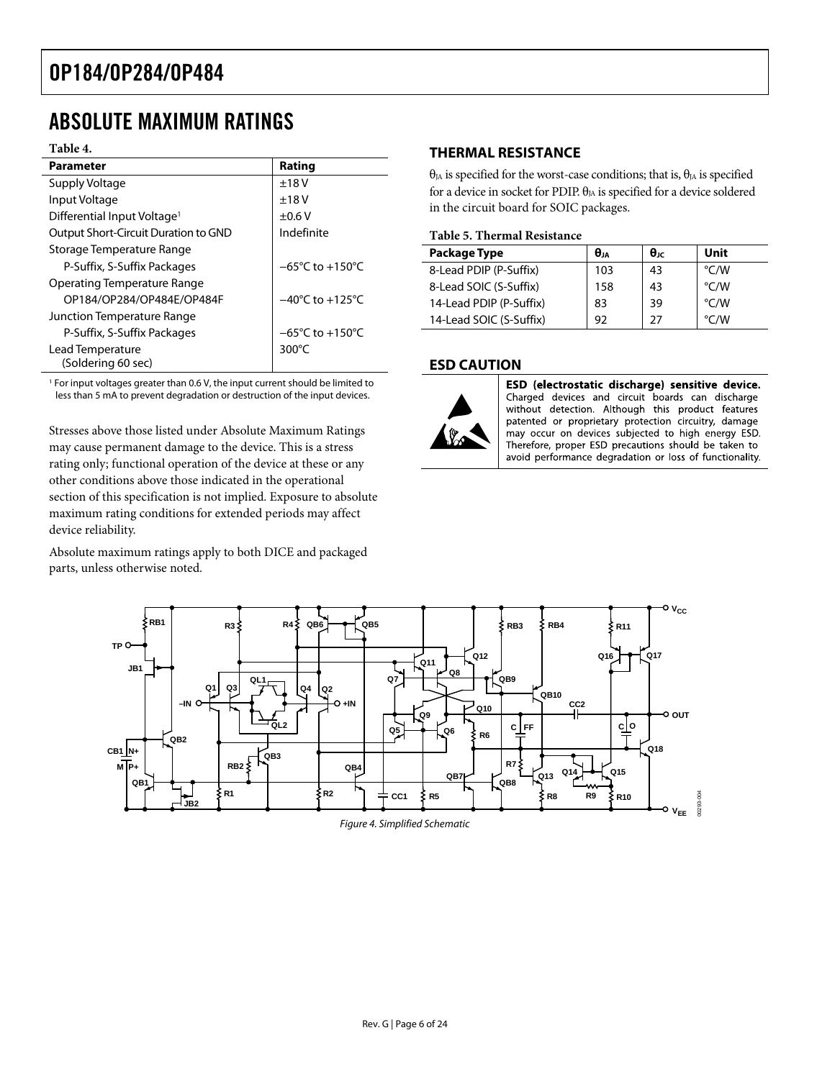### <span id="page-5-0"></span>ABSOLUTE MAXIMUM RATINGS

#### **Table 4.**

| <b>Parameter</b>                        | Rating                              |
|-----------------------------------------|-------------------------------------|
| Supply Voltage                          | $+18V$                              |
| Input Voltage                           | $+18V$                              |
| Differential Input Voltage <sup>1</sup> | $\pm 0.6$ V                         |
| Output Short-Circuit Duration to GND    | Indefinite                          |
| Storage Temperature Range               |                                     |
| P-Suffix, S-Suffix Packages             | $-65^{\circ}$ C to $+150^{\circ}$ C |
| Operating Temperature Range             |                                     |
| OP184/OP284/OP484E/OP484F               | $-40^{\circ}$ C to $+125^{\circ}$ C |
| Junction Temperature Range              |                                     |
| P-Suffix, S-Suffix Packages             | $-65^{\circ}$ C to $+150^{\circ}$ C |
| Lead Temperature                        | 300 $\degree$ C                     |
| (Soldering 60 sec)                      |                                     |

<sup>1</sup> For input voltages greater than 0.6 V, the input current should be limited to less than 5 mA to prevent degradation or destruction of the input devices.

Stresses above those listed under Absolute Maximum Ratings may cause permanent damage to the device. This is a stress rating only; functional operation of the device at these or any other conditions above those indicated in the operational section of this specification is not implied. Exposure to absolute maximum rating conditions for extended periods may affect device reliability.

Absolute maximum ratings apply to both DICE and packaged parts, unless otherwise noted.

### **THERMAL RESISTANCE**

 $θ<sub>JA</sub>$  is specified for the worst-case conditions; that is,  $θ<sub>JA</sub>$  is specified for a device in socket for PDIP.  $\theta_{JA}$  is specified for a device soldered in the circuit board for SOIC packages.

#### **Table 5. Thermal Resistance**

| <b>Package Type</b>     | $\theta$ JA | $\theta_{\text{JC}}$ | Unit               |
|-------------------------|-------------|----------------------|--------------------|
| 8-Lead PDIP (P-Suffix)  | 103         | 43                   | °C/W               |
| 8-Lead SOIC (S-Suffix)  | 158         | 43                   | $\rm ^{\circ}$ C/W |
| 14-Lead PDIP (P-Suffix) | 83          | 39                   | $\rm ^{\circ}$ C/W |
| 14-Lead SOIC (S-Suffix) | 92          | 27                   | $\rm ^{\circ}$ C/W |

### **ESD CAUTION**



ESD (electrostatic discharge) sensitive device. Charged devices and circuit boards can discharge without detection. Although this product features patented or proprietary protection circuitry, damage may occur on devices subjected to high energy ESD. Therefore, proper ESD precautions should be taken to avoid performance degradation or loss of functionality.

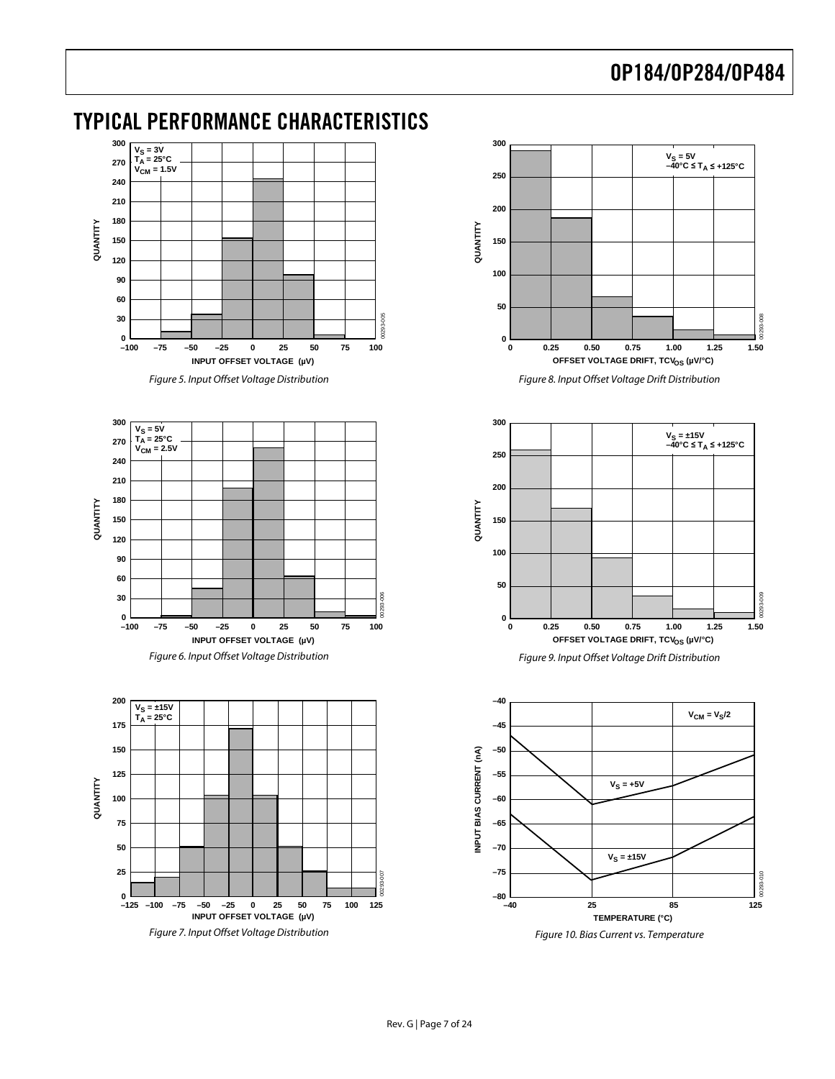### <span id="page-6-0"></span>TYPICAL PERFORMANCE CHARACTERISTICS



Figure 5. Input Offset Voltage Distribution



<span id="page-6-1"></span>



Figure 8. Input Offset Voltage Drift Distribution



Figure 9. Input Offset Voltage Drift Distribution

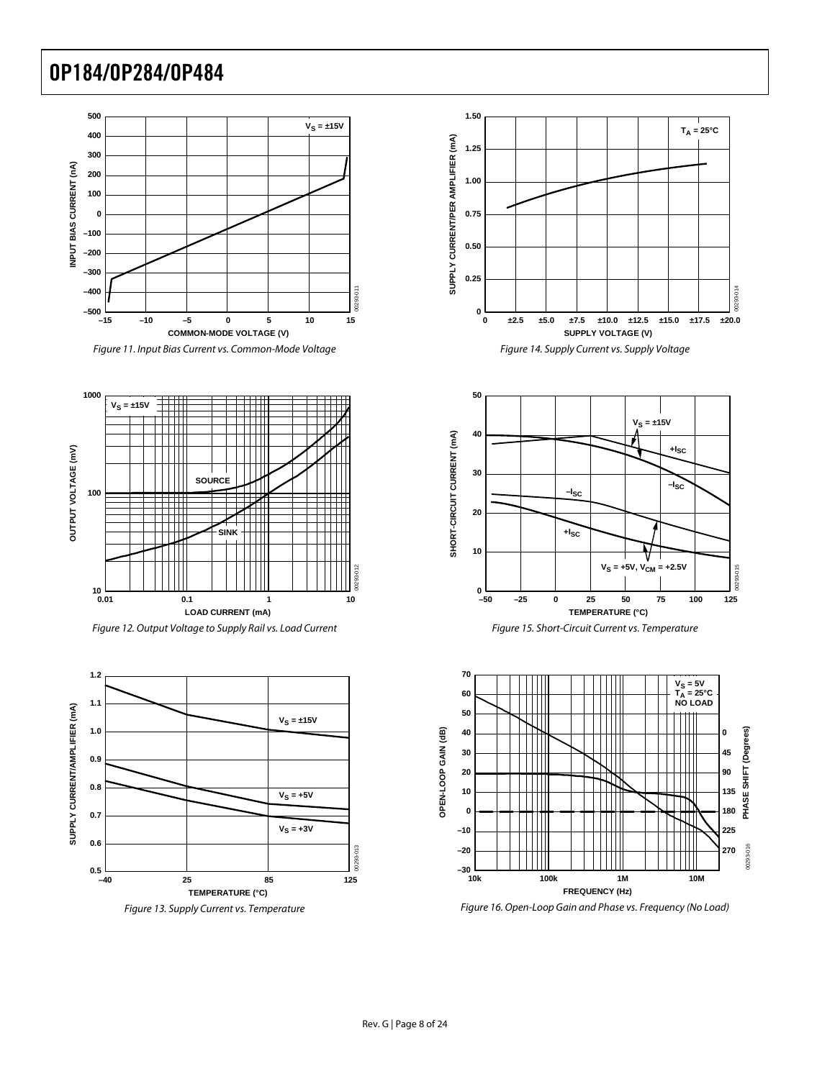







Figure 13. Supply Current vs. Temperature









Figure 16. Open-Loop Gain and Phase vs. Frequency (No Load)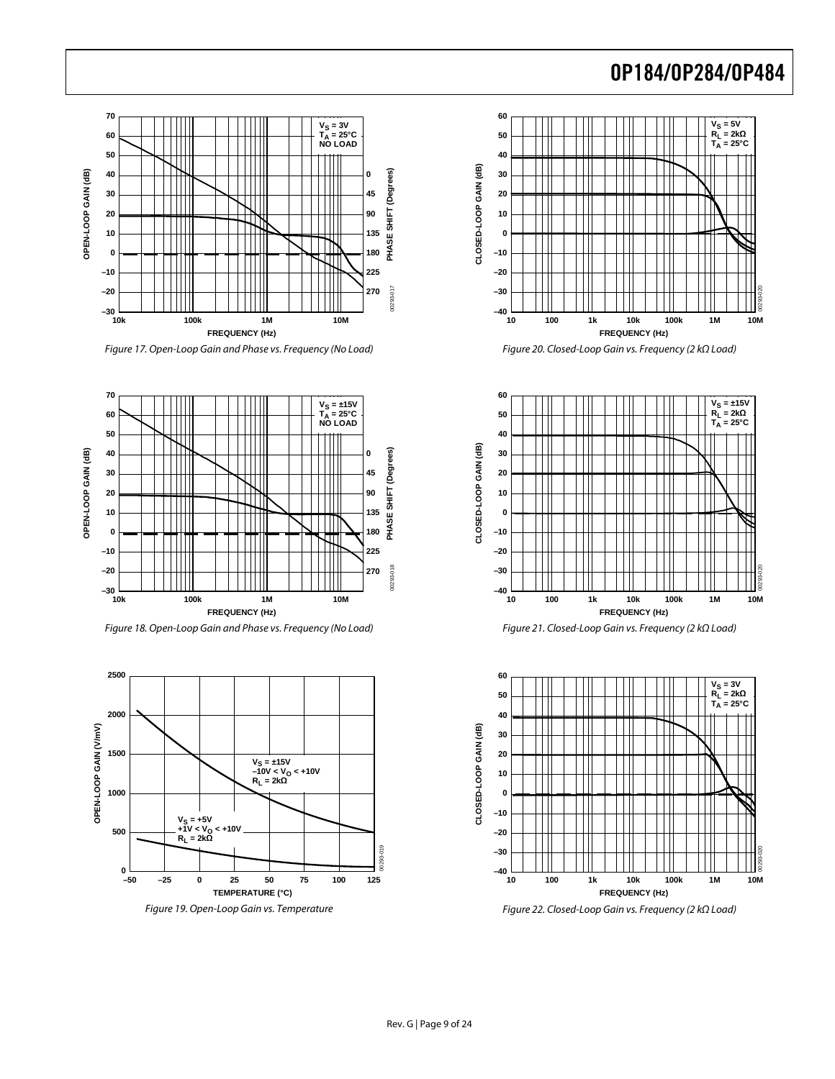

Figure 17. Open-Loop Gain and Phase vs. Frequency (No Load)



Figure 18. Open-Loop Gain and Phase vs. Frequency (No Load)



Figure 19. Open-Loop Gain vs. Temperature



Figure 20. Closed-Loop Gain vs. Frequency (2 kΩ Load)



Figure 21. Closed-Loop Gain vs. Frequency (2 kΩ Load)



Figure 22. Closed-Loop Gain vs. Frequency (2 kΩ Load)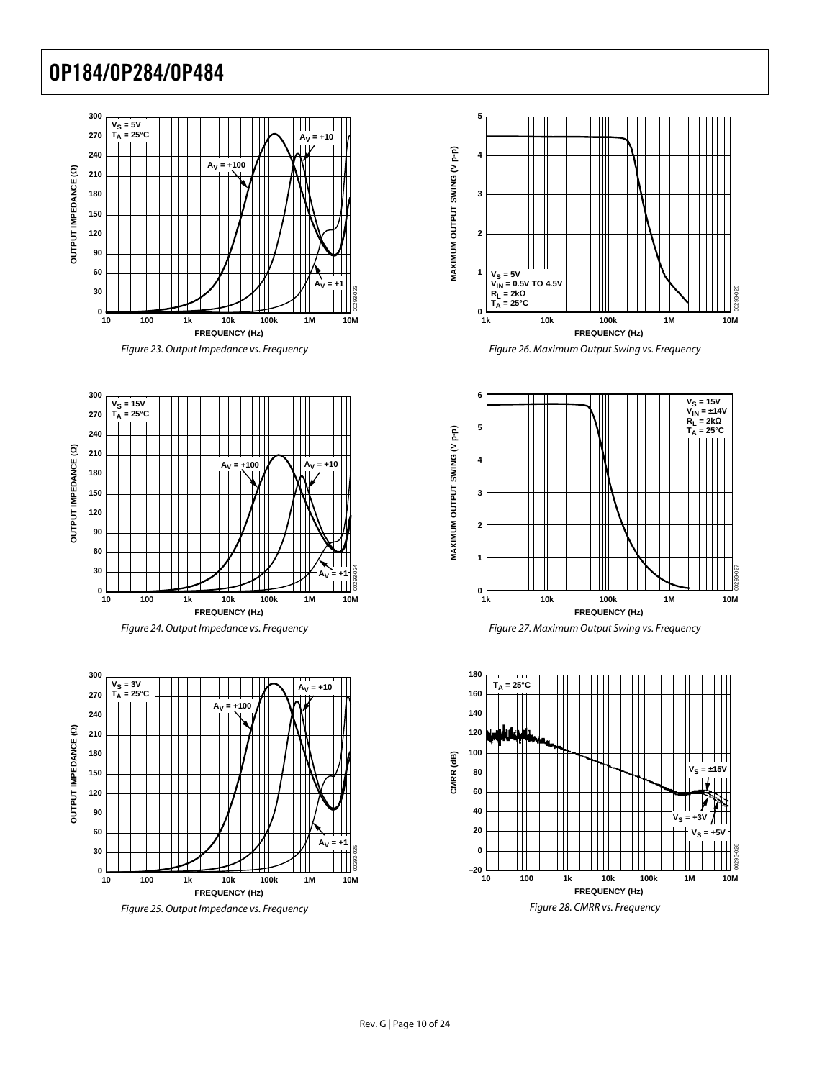







Figure 25. Output Impedance vs. Frequency









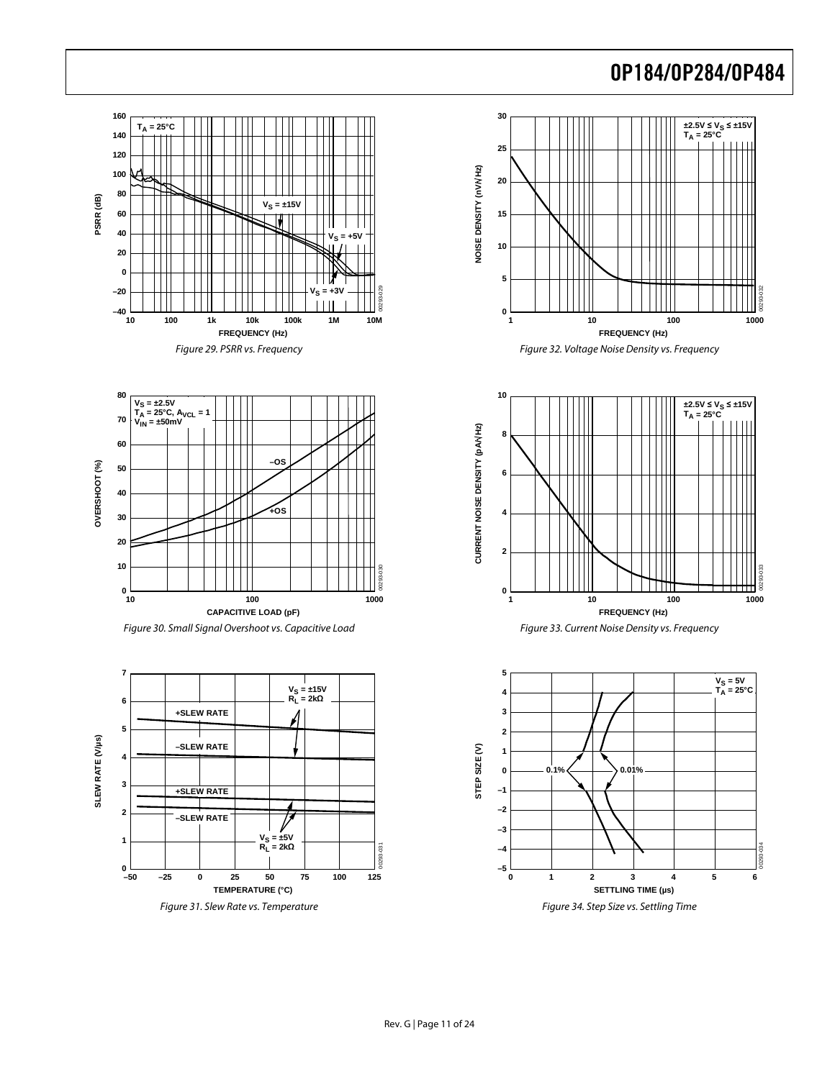





<span id="page-10-0"></span>









Figure 34. Step Size vs. Settling Time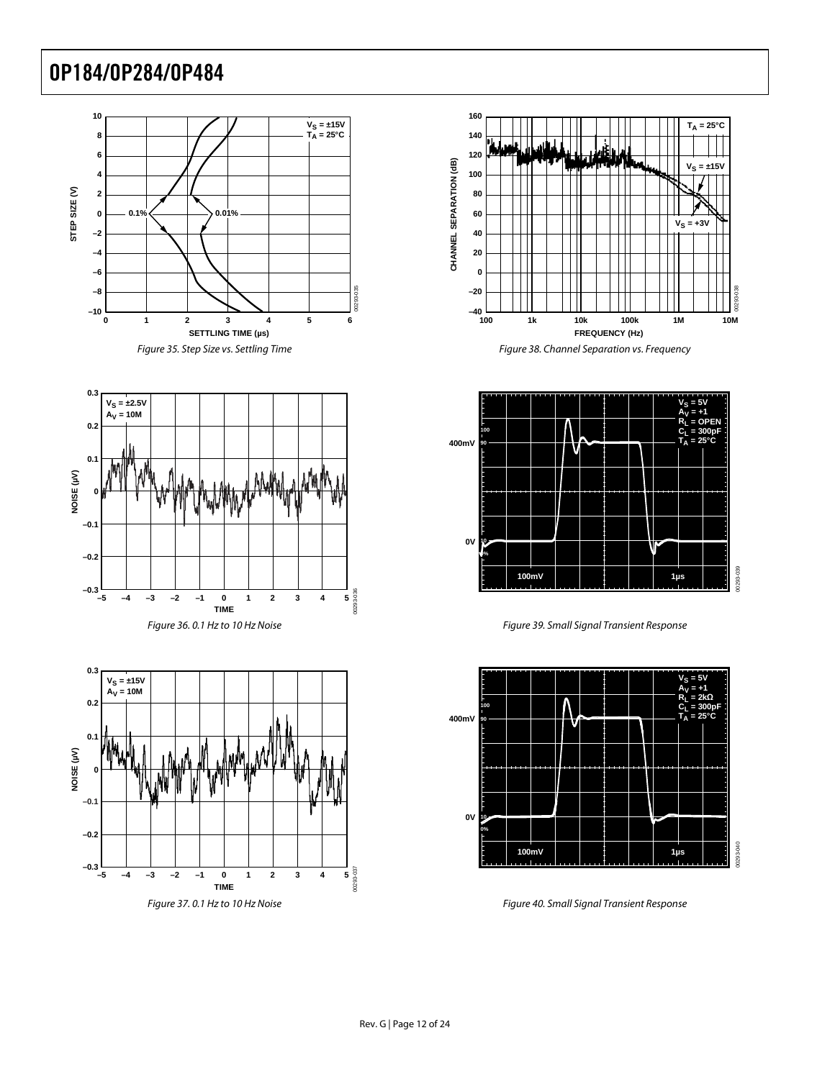





Figure 37. 0.1 Hz to 10 Hz Noise







Figure 39. Small Signal Transient Response



Figure 40. Small Signal Transient Response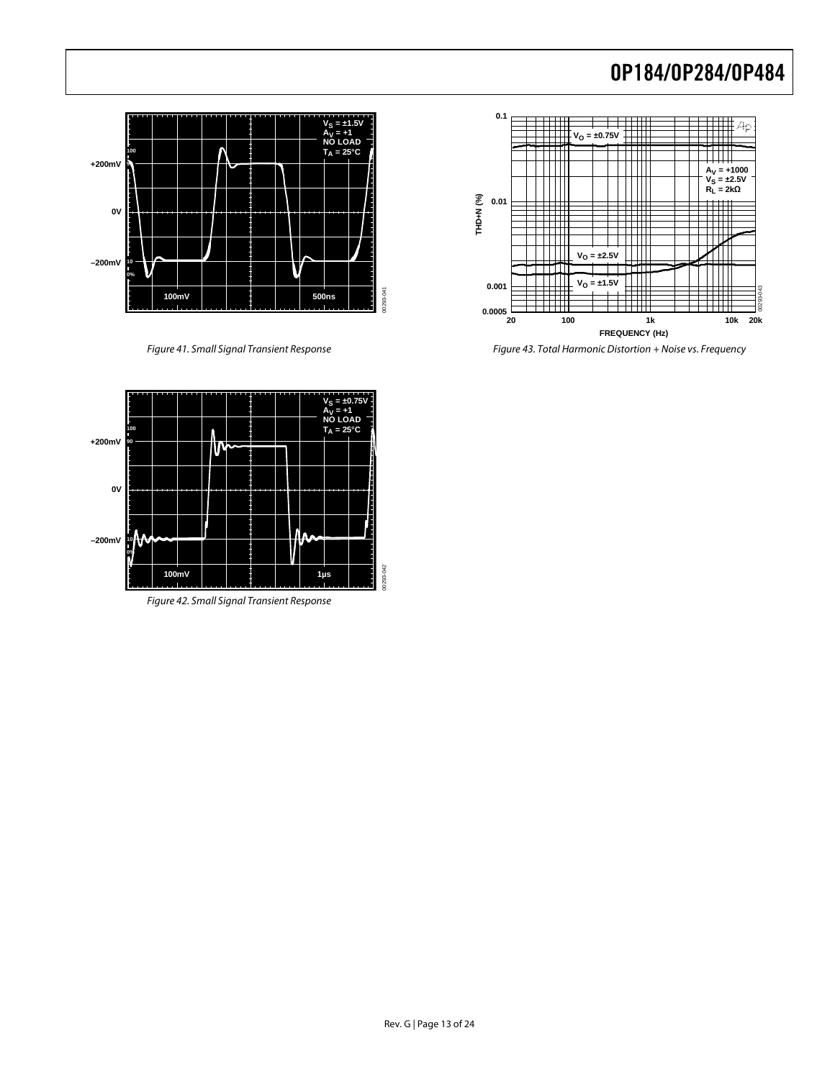

Figure 41. Small Signal Transient Response



Figure 43. Total Harmonic Distortion + Noise vs. Frequency



Figure 42. Small Signal Transient Response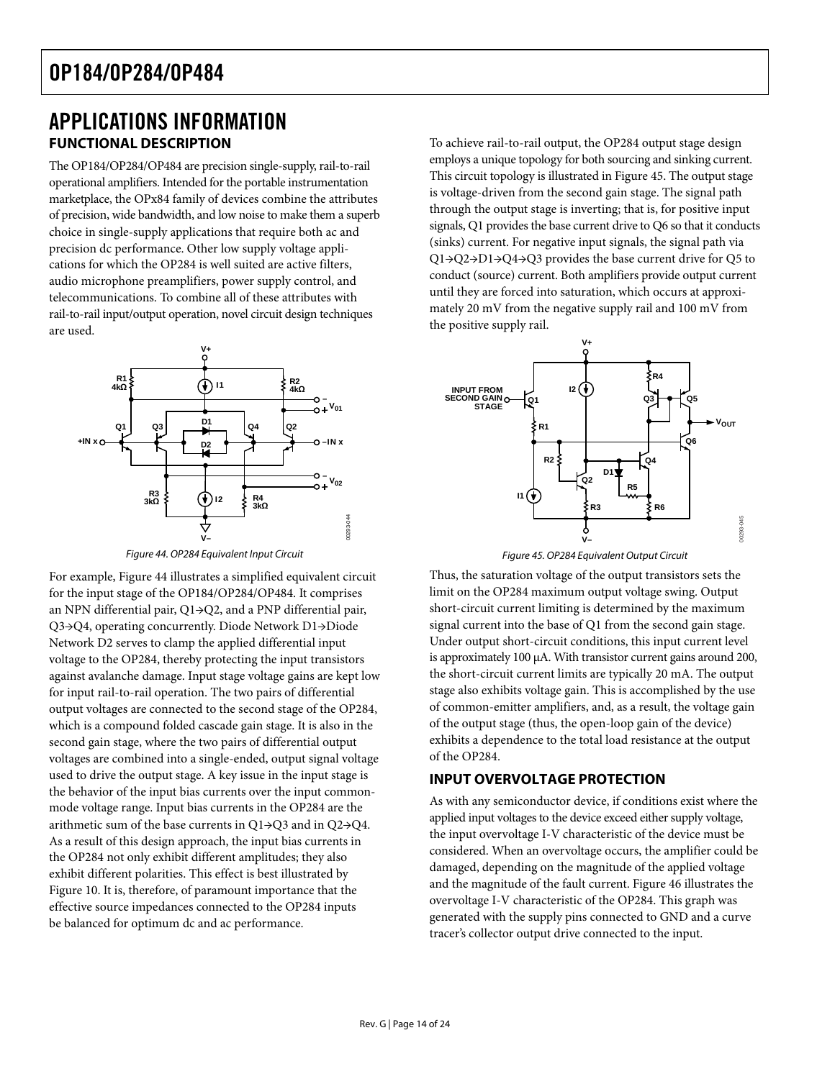### <span id="page-13-0"></span>APPLICATIONS INFORMATION **FUNCTIONAL DESCRIPTION**

The OP184/OP284/OP484 are precision single-supply, rail-to-rail operational amplifiers. Intended for the portable instrumentation marketplace, the OPx84 family of devices combine the attributes of precision, wide bandwidth, and low noise to make them a superb choice in single-supply applications that require both ac and precision dc performance. Other low supply voltage applications for which the OP284 is well suited are active filters, audio microphone preamplifiers, power supply control, and telecommunications. To combine all of these attributes with rail-to-rail input/output operation, novel circuit design techniques are used.



Figure 44. OP284 Equivalent Input Circuit

<span id="page-13-3"></span><span id="page-13-2"></span><span id="page-13-1"></span>For example, [Figure 44](#page-13-1) illustrates a simplified equivalent circuit for the input stage of the OP184/OP284/OP484. It comprises an NPN differential pair, Q1→Q2, and a PNP differential pair, Q3→Q4, operating concurrently. Diode Network D1→Diode Network D2 serves to clamp the applied differential input voltage to the OP284, thereby protecting the input transistors against avalanche damage. Input stage voltage gains are kept low for input rail-to-rail operation. The two pairs of differential output voltages are connected to the second stage of the OP284, which is a compound folded cascade gain stage. It is also in the second gain stage, where the two pairs of differential output voltages are combined into a single-ended, output signal voltage used to drive the output stage. A key issue in the input stage is the behavior of the input bias currents over the input commonmode voltage range. Input bias currents in the OP284 are the arithmetic sum of the base currents in Q1→Q3 and in Q2→Q4. As a result of this design approach, the input bias currents in the OP284 not only exhibit different amplitudes; they also exhibit different polarities. This effect is best illustrated by [Figure 10](#page-6-1). It is, therefore, of paramount importance that the effective source impedances connected to the OP284 inputs be balanced for optimum dc and ac performance.

To achieve rail-to-rail output, the OP284 output stage design employs a unique topology for both sourcing and sinking current. This circuit topology is illustrated in [Figure 45](#page-13-2). The output stage is voltage-driven from the second gain stage. The signal path through the output stage is inverting; that is, for positive input signals, Q1 provides the base current drive to Q6 so that it conducts (sinks) current. For negative input signals, the signal path via Q1→Q2→D1→Q4→Q3 provides the base current drive for Q5 to conduct (source) current. Both amplifiers provide output current until they are forced into saturation, which occurs at approximately 20 mV from the negative supply rail and 100 mV from the positive supply rail.



Figure 45. OP284 Equivalent Output Circuit

Thus, the saturation voltage of the output transistors sets the limit on the OP284 maximum output voltage swing. Output short-circuit current limiting is determined by the maximum signal current into the base of Q1 from the second gain stage. Under output short-circuit conditions, this input current level is approximately 100 μA. With transistor current gains around 200, the short-circuit current limits are typically 20 mA. The output stage also exhibits voltage gain. This is accomplished by the use of common-emitter amplifiers, and, as a result, the voltage gain of the output stage (thus, the open-loop gain of the device) exhibits a dependence to the total load resistance at the output of the OP284.

### **INPUT OVERVOLTAGE PROTECTION**

As with any semiconductor device, if conditions exist where the applied input voltages to the device exceed either supply voltage, the input overvoltage I-V characteristic of the device must be considered. When an overvoltage occurs, the amplifier could be damaged, depending on the magnitude of the applied voltage and the magnitude of the fault current. [Figure 46](#page-14-1) illustrates the overvoltage I-V characteristic of the OP284. This graph was generated with the supply pins connected to GND and a curve tracer's collector output drive connected to the input.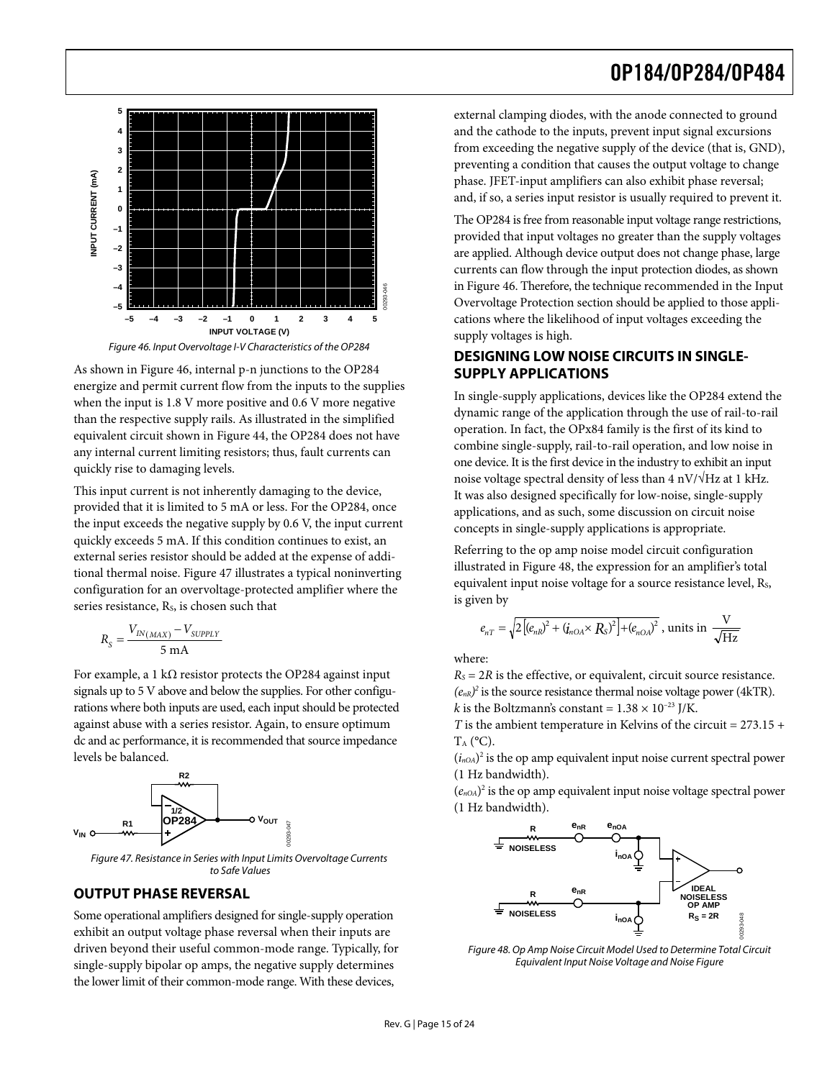<span id="page-14-0"></span>

Figure 46. Input Overvoltage I-V Characteristics of the OP284

<span id="page-14-1"></span>As shown in [Figure 46,](#page-14-1) internal p-n junctions to the OP284 energize and permit current flow from the inputs to the supplies when the input is 1.8 V more positive and 0.6 V more negative than the respective supply rails. As illustrated in the simplified equivalent circuit shown in [Figure 44](#page-13-1), the OP284 does not have any internal current limiting resistors; thus, fault currents can quickly rise to damaging levels.

This input current is not inherently damaging to the device, provided that it is limited to 5 mA or less. For the OP284, once the input exceeds the negative supply by 0.6 V, the input current quickly exceeds 5 mA. If this condition continues to exist, an external series resistor should be added at the expense of additional thermal noise. [Figure 47](#page-14-2) illustrates a typical noninverting configuration for an overvoltage-protected amplifier where the series resistance, Rs, is chosen such that

$$
R_{S} = \frac{V_{IN(MAX)} - V_{SUPPLY}}{5 \text{ mA}}
$$

For example, a 1 k $\Omega$  resistor protects the OP284 against input signals up to 5 V above and below the supplies. For other configurations where both inputs are used, each input should be protected against abuse with a series resistor. Again, to ensure optimum dc and ac performance, it is recommended that source impedance levels be balanced.



Figure 47. Resistance in Series with Input Limits Overvoltage Currents to Safe Values

#### <span id="page-14-2"></span>**OUTPUT PHASE REVERSAL**

<span id="page-14-3"></span>Some operational amplifiers designed for single-supply operation exhibit an output voltage phase reversal when their inputs are driven beyond their useful common-mode range. Typically, for single-supply bipolar op amps, the negative supply determines the lower limit of their common-mode range. With these devices,

external clamping diodes, with the anode connected to ground and the cathode to the inputs, prevent input signal excursions from exceeding the negative supply of the device (that is, GND), preventing a condition that causes the output voltage to change phase. JFET-input amplifiers can also exhibit phase reversal; and, if so, a series input resistor is usually required to prevent it.

The OP284 is free from reasonable input voltage range restrictions, provided that input voltages no greater than the supply voltages are applied. Although device output does not change phase, large currents can flow through the input protection diodes, as shown in [Figure 46.](#page-14-1) Therefore, the technique recommended in the [Input](#page-13-3)  [Overvoltage Protection](#page-13-3) section should be applied to those applications where the likelihood of input voltages exceeding the supply voltages is high.

### **DESIGNING LOW NOISE CIRCUITS IN SINGLE-SUPPLY APPLICATIONS**

m F1<br>
Separation Supples<br>
The SUF<br>
DES<br>
SUF<br>
The sidyna<br>
we dave oper<br>
com one nois<br>
It was apple conce<br>
nois<br>
It was apple conce<br>
rent<br>
1<br>
it Refe illus<br>
equi is giv<br>
when  $R_s =$ <br>
(e<sub>nR)</sub><br>
ted k is t<br>
nut<br>
nce TA ((i<sub>nQA</sub>) In single-supply applications, devices like the OP284 extend the dynamic range of the application through the use of rail-to-rail operation. In fact, the OPx84 family is the first of its kind to combine single-supply, rail-to-rail operation, and low noise in one device. It is the first device in the industry to exhibit an input noise voltage spectral density of less than  $4 \frac{\text{nV}}{\text{Hz}}$  at 1 kHz. It was also designed specifically for low-noise, single-supply applications, and as such, some discussion on circuit noise concepts in single-supply applications is appropriate.

Referring to the op amp noise model circuit configuration illustrated in [Figure 48,](#page-14-3) the expression for an amplifier's total equivalent input noise voltage for a source resistance level, Rs, is given by

$$
e_{nT} = \sqrt{2\left[\left(e_{nR}\right)^2 + \left(\dot{I}_{nOA} \times R_S\right)^2\right] + \left(e_{nOA}\right)^2}
$$
, units in  $\frac{V}{\sqrt{Hz}}$ 

where:

 $R<sub>S</sub> = 2R$  is the effective, or equivalent, circuit source resistance.  $(e_{nR})^2$  is the source resistance thermal noise voltage power (4kTR). *k* is the Boltzmann's constant =  $1.38 \times 10^{-23}$  J/K.

*T* is the ambient temperature in Kelvins of the circuit =  $273.15 +$  $T_A$  ( $^{\circ}$ C).

 $(i_{n<sub>OA</sub>})<sup>2</sup>$  is the op amp equivalent input noise current spectral power (1 Hz bandwidth).

 $(e_{n\Omega A})^2$  is the op amp equivalent input noise voltage spectral power (1 Hz bandwidth).



Figure 48. Op Amp Noise Circuit Model Used to Determine Total Circuit Equivalent Input Noise Voltage and Noise Figure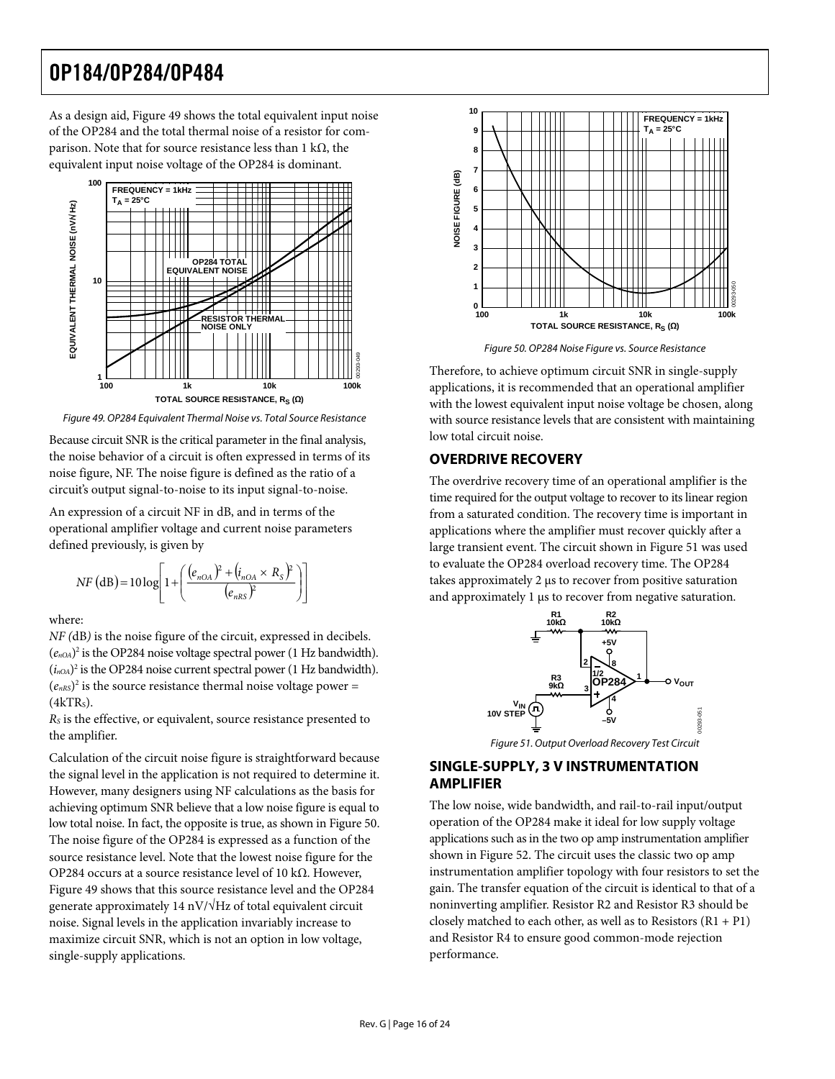<span id="page-15-0"></span>As a design aid, [Figure 49](#page-15-1) shows the total equivalent input noise of the OP284 and the total thermal noise of a resistor for comparison. Note that for source resistance less than 1 kΩ, the equivalent input noise voltage of the OP284 is dominant.



<span id="page-15-2"></span>Figure 49. OP284 Equivalent Thermal Noise vs. Total Source Resistance

<span id="page-15-1"></span>Because circuit SNR is the critical parameter in the final analysis, the noise behavior of a circuit is often expressed in terms of its noise figure, NF. The noise figure is defined as the ratio of a circuit's output signal-to-noise to its input signal-to-noise.

An expression of a circuit NF in dB, and in terms of the operational amplifier voltage and current noise parameters defined previously, is given by

$$
NF (dB) = 10 log \left[ 1 + \left( \frac{(e_{nOA})^2 + (i_{nOA} \times R_S)^2}{(e_{nRS})^2} \right) \right]
$$

where:

*NF (*dB*)* is the noise figure of the circuit, expressed in decibels.  $(e_{nOA})^2$  is the OP284 noise voltage spectral power (1 Hz bandwidth).  $(i_{n<sub>OA</sub>})^2$  is the OP284 noise current spectral power (1 Hz bandwidth).  $(e<sub>nRS</sub>)<sup>2</sup>$  is the source resistance thermal noise voltage power =  $(4kTRs)$ .

*RS* is the effective, or equivalent, source resistance presented to the amplifier.

<span id="page-15-3"></span>Calculation of the circuit noise figure is straightforward because the signal level in the application is not required to determine it. However, many designers using NF calculations as the basis for achieving optimum SNR believe that a low noise figure is equal to low total noise. In fact, the opposite is true, as shown in [Figure 50](#page-15-2). The noise figure of the OP284 is expressed as a function of the source resistance level. Note that the lowest noise figure for the OP284 occurs at a source resistance level of 10 kΩ. However, [Figure 49](#page-15-1) shows that this source resistance level and the OP284 generate approximately 14 nV/ $\sqrt{Hz}$  of total equivalent circuit noise. Signal levels in the application invariably increase to maximize circuit SNR, which is not an option in low voltage, single-supply applications.



Figure 50. OP284 Noise Figure vs. Source Resistance

Therefore, to achieve optimum circuit SNR in single-supply applications, it is recommended that an operational amplifier with the lowest equivalent input noise voltage be chosen, along with source resistance levels that are consistent with maintaining low total circuit noise.

### **OVERDRIVE RECOVERY**

The overdrive recovery time of an operational amplifier is the time required for the output voltage to recover to its linear region from a saturated condition. The recovery time is important in applications where the amplifier must recover quickly after a large transient event. The circuit shown in [Figure 51](#page-15-3) was used to evaluate the OP284 overload recovery time. The OP284 takes approximately 2 μs to recover from positive saturation and approximately 1 μs to recover from negative saturation.



Figure 51. Output Overload Recovery Test Circuit

### **SINGLE-SUPPLY, 3 V INSTRUMENTATION AMPLIFIER**

The low noise, wide bandwidth, and rail-to-rail input/output operation of the OP284 make it ideal for low supply voltage applications such as in the two op amp instrumentation amplifier shown in [Figure 52](#page-16-1). The circuit uses the classic two op amp instrumentation amplifier topology with four resistors to set the gain. The transfer equation of the circuit is identical to that of a noninverting amplifier. Resistor R2 and Resistor R3 should be closely matched to each other, as well as to Resistors  $(R1 + P1)$ and Resistor R4 to ensure good common-mode rejection performance.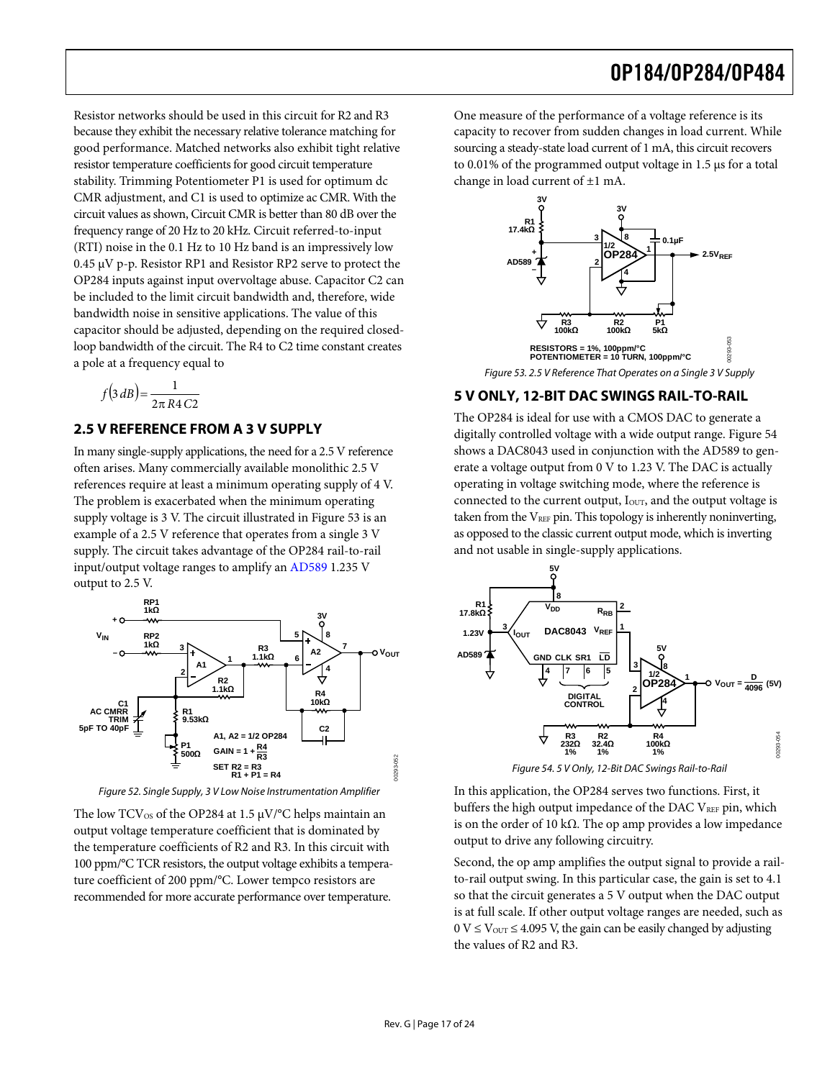<span id="page-16-0"></span>Resistor networks should be used in this circuit for R2 and R3 because they exhibit the necessary relative tolerance matching for good performance. Matched networks also exhibit tight relative resistor temperature coefficients for good circuit temperature stability. Trimming Potentiometer P1 is used for optimum dc CMR adjustment, and C1 is used to optimize ac CMR. With the circuit values as shown, Circuit CMR is better than 80 dB over the frequency range of 20 Hz to 20 kHz. Circuit referred-to-input (RTI) noise in the 0.1 Hz to 10 Hz band is an impressively low 0.45 μV p-p. Resistor RP1 and Resistor RP2 serve to protect the OP284 inputs against input overvoltage abuse. Capacitor C2 can be included to the limit circuit bandwidth and, therefore, wide bandwidth noise in sensitive applications. The value of this capacitor should be adjusted, depending on the required closedloop bandwidth of the circuit. The R4 to C2 time constant creates a pole at a frequency equal to

$$
f(3 dB) = \frac{1}{2\pi R4 C2}
$$

### <span id="page-16-2"></span>**2.5 V REFERENCE FROM A 3 V SUPPLY**

In many single-supply applications, the need for a 2.5 V reference often arises. Many commercially available monolithic 2.5 V references require at least a minimum operating supply of 4 V. The problem is exacerbated when the minimum operating supply voltage is 3 V. The circuit illustrated in [Figure 53](#page-16-2) is an example of a 2.5 V reference that operates from a single 3 V supply. The circuit takes advantage of the OP284 rail-to-rail input/output voltage ranges to amplify an [AD589](http://www.analog.com/en/prod/0%2C2877%2CAD589%2C00.html) 1.235 V output to 2.5 V.



Figure 52. Single Supply, 3 V Low Noise Instrumentation Amplifier

<span id="page-16-3"></span><span id="page-16-1"></span>The low  $TCV_{OS}$  of the OP284 at 1.5  $\mu V$ /°C helps maintain an output voltage temperature coefficient that is dominated by the temperature coefficients of R2 and R3. In this circuit with 100 ppm/°C TCR resistors, the output voltage exhibits a temperature coefficient of 200 ppm/°C. Lower tempco resistors are recommended for more accurate performance over temperature.

One measure of the performance of a voltage reference is its capacity to recover from sudden changes in load current. While sourcing a steady-state load current of 1 mA, this circuit recovers to 0.01% of the programmed output voltage in 1.5 μs for a total change in load current of ±1 mA.



Figure 53. 2.5 V Reference That Operates on a Single 3 V Supply

### **5 V ONLY, 12-BIT DAC SWINGS RAIL-TO-RAIL**

The OP284 is ideal for use with a CMOS DAC to generate a digitally controlled voltage with a wide output range. [Figure 54](#page-16-3) shows a DAC8043 used in conjunction with the AD589 to generate a voltage output from 0 V to 1.23 V. The DAC is actually operating in voltage switching mode, where the reference is connected to the current output, I<sub>OUT</sub>, and the output voltage is taken from the  $V_{REF}$  pin. This topology is inherently noninverting, as opposed to the classic current output mode, which is inverting and not usable in single-supply applications.



In this application, the OP284 serves two functions. First, it buffers the high output impedance of the DAC VREF pin, which is on the order of 10 k $\Omega$ . The op amp provides a low impedance output to drive any following circuitry.

Second, the op amp amplifies the output signal to provide a railto-rail output swing. In this particular case, the gain is set to 4.1 so that the circuit generates a 5 V output when the DAC output is at full scale. If other output voltage ranges are needed, such as  $0 \text{ V} \leq \text{V}_{\text{OUT}} \leq 4.095 \text{ V}$ , the gain can be easily changed by adjusting the values of R2 and R3.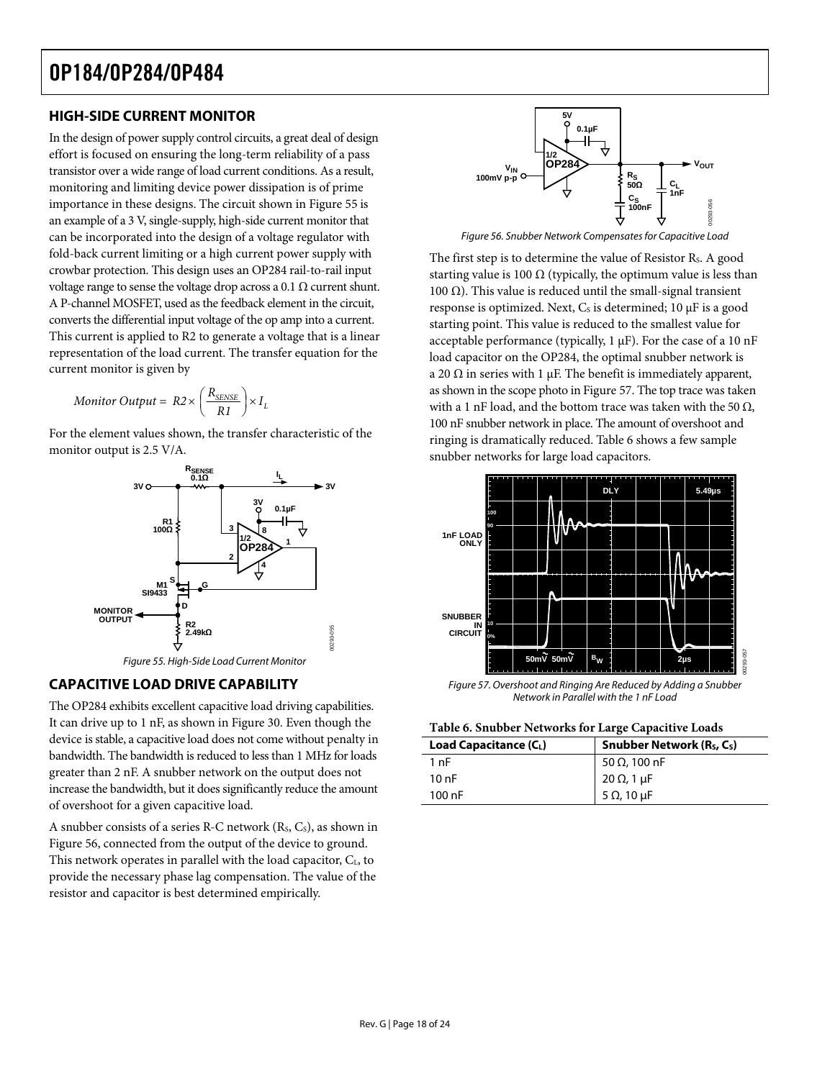### <span id="page-17-0"></span>**HIGH-SIDE CURRENT MONITOR**

<span id="page-17-2"></span>In the design of power supply control circuits, a great deal of design effort is focused on ensuring the long-term reliability of a pass transistor over a wide range of load current conditions. As a result, monitoring and limiting device power dissipation is of prime importance in these designs. The circuit shown in [Figure 55](#page-17-1) is an example of a 3 V, single-supply, high-side current monitor that can be incorporated into the design of a voltage regulator with fold-back current limiting or a high current power supply with crowbar protection. This design uses an OP284 rail-to-rail input voltage range to sense the voltage drop across a 0.1  $\Omega$  current shunt. A P-channel MOSFET, used as the feedback element in the circuit, converts the differential input voltage of the op amp into a current. This current is applied to R2 to generate a voltage that is a linear representation of the load current. The transfer equation for the current monitor is given by

$$
Monitor\ Output = R2 \times \left(\frac{R_{\text{SENSE}}}{R1}\right) \times I_L
$$

For the element values shown, the transfer characteristic of the monitor output is 2.5 V/A.



### <span id="page-17-3"></span><span id="page-17-1"></span>**CAPACITIVE LOAD DRIVE CAPABILITY**

<span id="page-17-4"></span>The OP284 exhibits excellent capacitive load driving capabilities. It can drive up to 1 nF, as shown in [Figure 30](#page-10-0). Even though the device is stable, a capacitive load does not come without penalty in bandwidth. The bandwidth is reduced to less than 1 MHz for loads greater than 2 nF. A snubber network on the output does not increase the bandwidth, but it does significantly reduce the amount of overshoot for a given capacitive load.

A snubber consists of a series R-C network  $(R<sub>s</sub>, C<sub>s</sub>)$ , as shown in [Figure 56,](#page-17-2) connected from the output of the device to ground. This network operates in parallel with the load capacitor, CL, to provide the necessary phase lag compensation. The value of the resistor and capacitor is best determined empirically.



Figure 56. Snubber Network Compensates for Capacitive Load

The first step is to determine the value of Resistor R<sub>s</sub>. A good starting value is 100  $\Omega$  (typically, the optimum value is less than 100 Ω). This value is reduced until the small-signal transient response is optimized. Next,  $C_s$  is determined; 10  $\mu$ F is a good starting point. This value is reduced to the smallest value for acceptable performance (typically, 1 μF). For the case of a 10 nF load capacitor on the OP284, the optimal snubber network is a 20  $\Omega$  in series with 1 μF. The benefit is immediately apparent, as shown in the scope photo in [Figure 57](#page-17-3). The top trace was taken with a 1 nF load, and the bottom trace was taken with the 50  $\Omega$ , 100 nF snubber network in place. The amount of overshoot and ringing is dramatically reduced. [Table 6](#page-17-4) shows a few sample snubber networks for large load capacitors.



Figure 57. Overshoot and Ringing Are Reduced by Adding a Snubber Network in Parallel with the 1 nF Load

| Load Capacitance $(C_L)$ | Snubber Network (R <sub>S</sub> , C <sub>S</sub> ) |  |  |
|--------------------------|----------------------------------------------------|--|--|
| 1 nF                     | 50 Ω, 100 nF                                       |  |  |
| 10 nF                    | 20 Ω, 1 μF                                         |  |  |
| $100$ nF                 | 5 $\Omega$ , 10 $\mu$ F                            |  |  |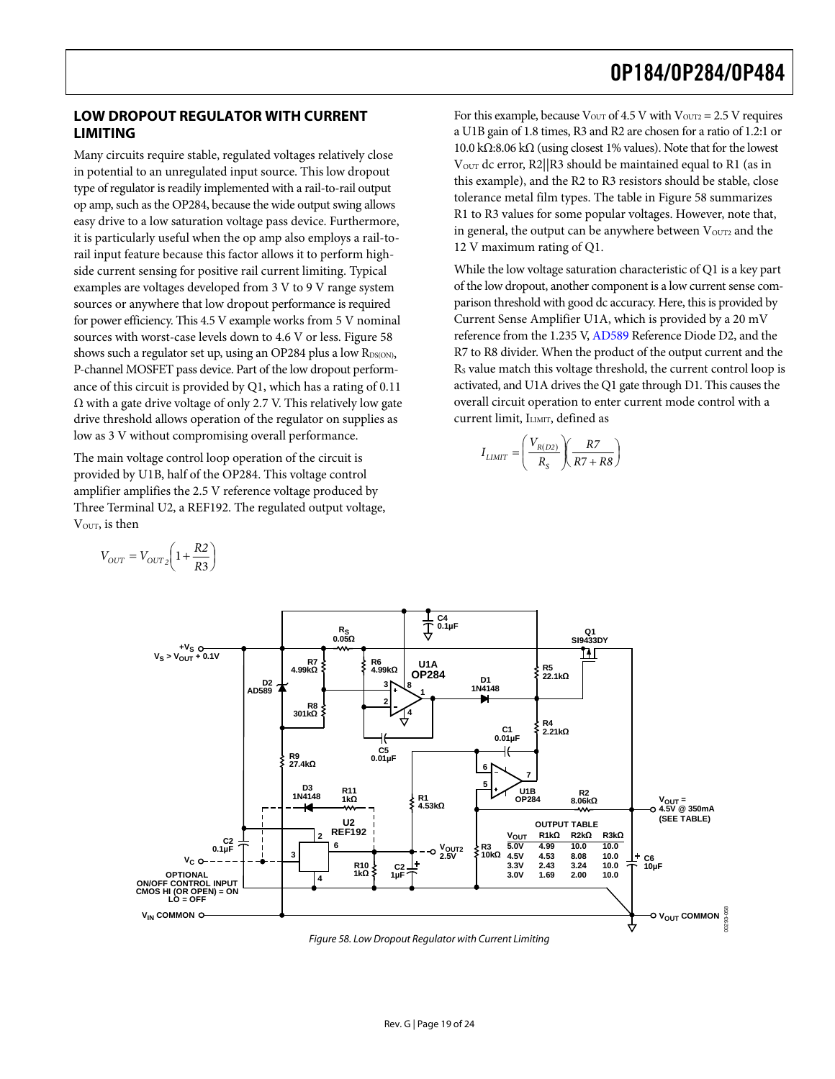### <span id="page-18-0"></span>**LOW DROPOUT REGULATOR WITH CURRENT LIMITING**

Many circuits require stable, regulated voltages relatively close in potential to an unregulated input source. This low dropout type of regulator is readily implemented with a rail-to-rail output op amp, such as the OP284, because the wide output swing allows easy drive to a low saturation voltage pass device. Furthermore, it is particularly useful when the op amp also employs a rail-torail input feature because this factor allows it to perform highside current sensing for positive rail current limiting. Typical examples are voltages developed from 3 V to 9 V range system sources or anywhere that low dropout performance is required for power efficiency. This 4.5 V example works from 5 V nominal sources with worst-case levels down to 4.6 V or less. [Figure 58](#page-18-1) shows such a regulator set up, using an OP284 plus a low RDS(ON), P-channel MOSFET pass device. Part of the low dropout performance of this circuit is provided by Q1, which has a rating of 0.11  $\Omega$  with a gate drive voltage of only 2.7 V. This relatively low gate drive threshold allows operation of the regulator on supplies as low as 3 V without compromising overall performance.

The main voltage control loop operation of the circuit is provided by U1B, half of the OP284. This voltage control amplifier amplifies the 2.5 V reference voltage produced by Three Terminal U2, a REF192. The regulated output voltage, VOUT, is then

 $=V_{OUT2}\left(1+\frac{R2}{R3}\right)$  $V_{OUT} = V_{OUT2} \left(1 + \frac{R2}{R3}\right)$ 

For this example, because 
$$
V_{\text{OUT}}
$$
 of 4.5 V with  $V_{\text{OUT2}} = 2.5$  V requires a U1B gain of 1.8 times, R3 and R2 are chosen for a ratio of 1.2:1 or 10.0 kΩ:8.06 kΩ (using closest 1% values). Note that for the lowest  $V_{\text{OUT}}$  dc error, R2||R3 should be maintained equal to R1 (as in this example), and the R2 to R3 resistors should be stable, close tolerance metal film types. The table in Figure 58 summarizes R1 to R3 values for some popular voltages. However, note that, in general, the output can be anywhere between  $V_{\text{OUT2}}$  and the 12 V maximum rating of Q1.

While the low voltage saturation characteristic of Q1 is a key part of the low dropout, another component is a low current sense comparison threshold with good dc accuracy. Here, this is provided by Current Sense Amplifier U1A, which is provided by a 20 mV reference from the 1.235 V, [AD589](http://www.analog.com/en/prod/0%2C2877%2CAD589%2C00.html) Reference Diode D2, and the R7 to R8 divider. When the product of the output current and the RS value match this voltage threshold, the current control loop is activated, and U1A drives the Q1 gate through D1. This causes the overall circuit operation to enter current mode control with a current limit, ILIMIT, defined as

$$
I_{LIMIT} = \left(\frac{V_{R(D2)}}{R_S}\right)\left(\frac{R7}{R7 + R8}\right)
$$



<span id="page-18-1"></span>Figure 58. Low Dropout Regulator with Current Limiting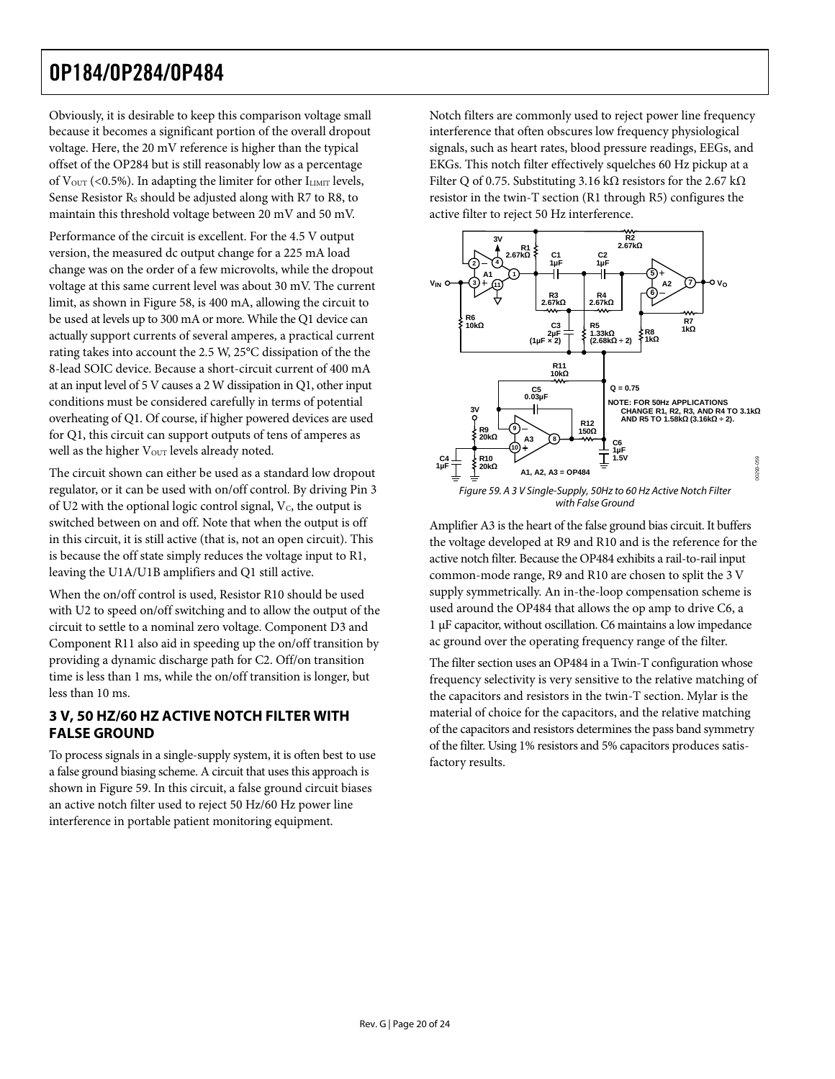<span id="page-19-0"></span>Obviously, it is desirable to keep this comparison voltage small because it becomes a significant portion of the overall dropout voltage. Here, the 20 mV reference is higher than the typical offset of the OP284 but is still reasonably low as a percentage of  $V_{\text{OUT}}$  (<0.5%). In adapting the limiter for other  $I_{\text{LIMIT}}$  levels, Sense Resistor R<sub>s</sub> should be adjusted along with R7 to R8, to maintain this threshold voltage between 20 mV and 50 mV.

Performance of the circuit is excellent. For the 4.5 V output version, the measured dc output change for a 225 mA load change was on the order of a few microvolts, while the dropout voltage at this same current level was about 30 mV. The current limit, as shown in [Figure 58,](#page-18-1) is 400 mA, allowing the circuit to be used at levels up to 300 mA or more. While the Q1 device can actually support currents of several amperes, a practical current rating takes into account the 2.5 W, 25°C dissipation of the the 8-lead SOIC device. Because a short-circuit current of 400 mA at an input level of 5 V causes a 2 W dissipation in Q1, other input conditions must be considered carefully in terms of potential overheating of Q1. Of course, if higher powered devices are used for Q1, this circuit can support outputs of tens of amperes as well as the higher V<sub>OUT</sub> levels already noted.

<span id="page-19-1"></span>The circuit shown can either be used as a standard low dropout regulator, or it can be used with on/off control. By driving Pin 3 of U2 with the optional logic control signal,  $V_c$ , the output is switched between on and off. Note that when the output is off in this circuit, it is still active (that is, not an open circuit). This is because the off state simply reduces the voltage input to R1, leaving the U1A/U1B amplifiers and Q1 still active.

When the on/off control is used, Resistor R10 should be used with U2 to speed on/off switching and to allow the output of the circuit to settle to a nominal zero voltage. Component D3 and Component R11 also aid in speeding up the on/off transition by providing a dynamic discharge path for C2. Off/on transition time is less than 1 ms, while the on/off transition is longer, but less than 10 ms.

### **3 V, 50 HZ/60 HZ ACTIVE NOTCH FILTER WITH FALSE GROUND**

To process signals in a single-supply system, it is often best to use a false ground biasing scheme. A circuit that uses this approach is shown in [Figure 59.](#page-19-1) In this circuit, a false ground circuit biases an active notch filter used to reject 50 Hz/60 Hz power line interference in portable patient monitoring equipment.

Notch filters are commonly used to reject power line frequency interference that often obscures low frequency physiological signals, such as heart rates, blood pressure readings, EEGs, and EKGs. This notch filter effectively squelches 60 Hz pickup at a Filter Q of 0.75. Substituting 3.16 kΩ resistors for the 2.67 kΩ resistor in the twin-T section (R1 through R5) configures the active filter to reject 50 Hz interference.



Amplifier A3 is the heart of the false ground bias circuit. It buffers the voltage developed at R9 and R10 and is the reference for the active notch filter. Because the OP484 exhibits a rail-to-rail input common-mode range, R9 and R10 are chosen to split the 3 V supply symmetrically. An in-the-loop compensation scheme is used around the OP484 that allows the op amp to drive C6, a 1 μF capacitor, without oscillation. C6 maintains a low impedance ac ground over the operating frequency range of the filter.

The filter section uses an OP484 in a Twin-T configuration whose frequency selectivity is very sensitive to the relative matching of the capacitors and resistors in the twin-T section. Mylar is the material of choice for the capacitors, and the relative matching of the capacitors and resistors determines the pass band symmetry of the filter. Using 1% resistors and 5% capacitors produces satisfactory results.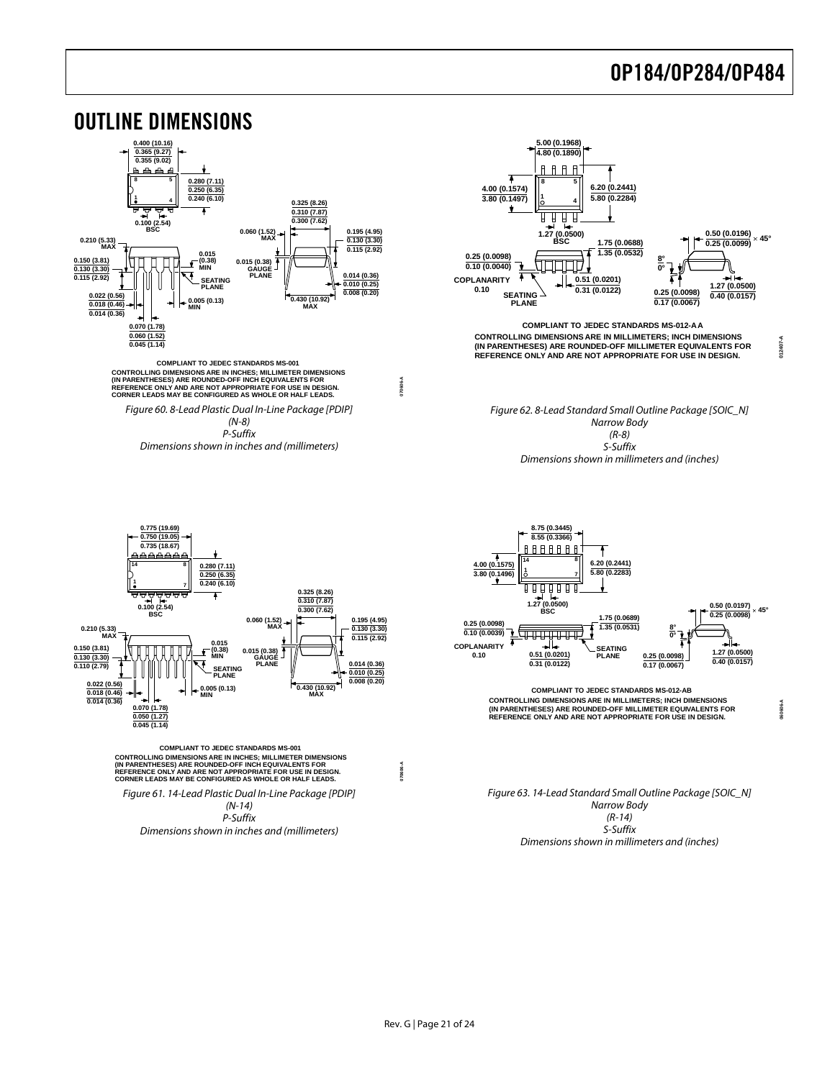<span id="page-20-0"></span>

Dimensions shown in millimeters and (inches)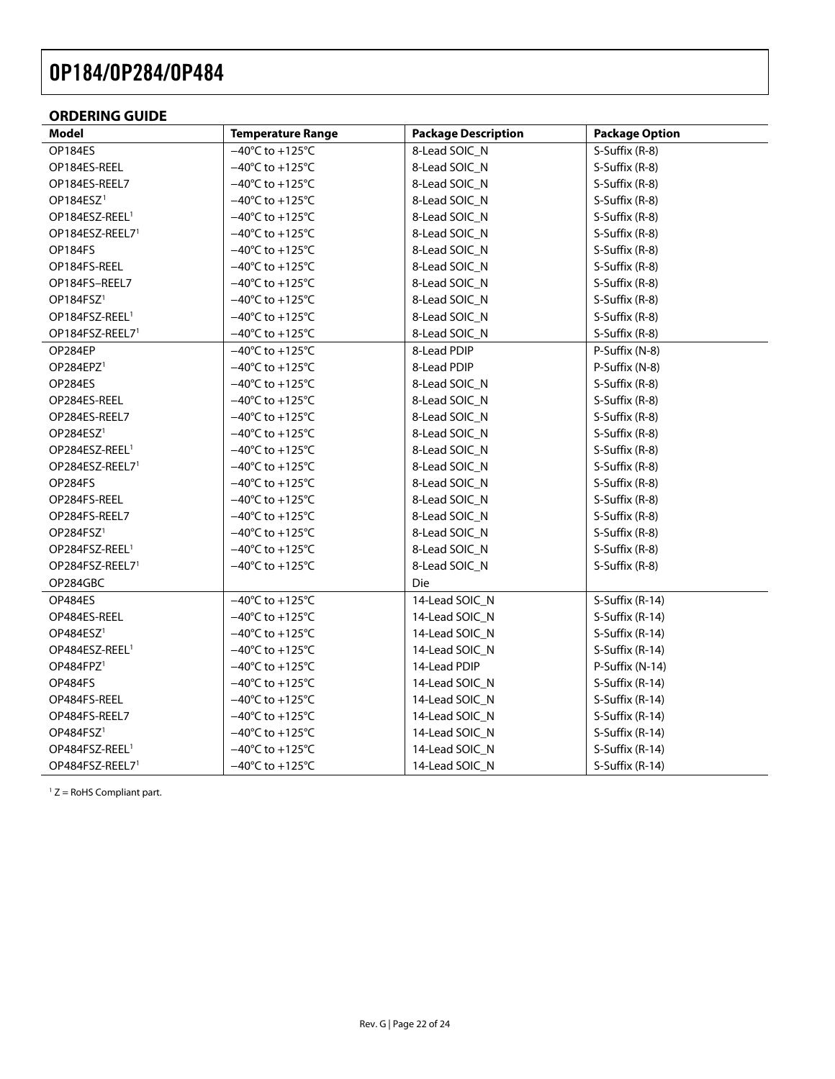### <span id="page-21-0"></span>**ORDERING GUIDE**

| Model                       | <b>Temperature Range</b>             | <b>Package Description</b> | <b>Package Option</b> |
|-----------------------------|--------------------------------------|----------------------------|-----------------------|
| OP184ES                     | $-40^{\circ}$ C to +125 $^{\circ}$ C | 8-Lead SOIC_N              | S-Suffix (R-8)        |
| OP184ES-REEL                | $-40^{\circ}$ C to $+125^{\circ}$ C  | 8-Lead SOIC_N              | S-Suffix (R-8)        |
| OP184ES-REEL7               | $-40^{\circ}$ C to $+125^{\circ}$ C  | 8-Lead SOIC_N              | S-Suffix (R-8)        |
| OP184ESZ <sup>1</sup>       | $-40^{\circ}$ C to $+125^{\circ}$ C  | 8-Lead SOIC_N              | S-Suffix (R-8)        |
| OP184ESZ-REEL <sup>1</sup>  | $-40^{\circ}$ C to +125 $^{\circ}$ C | 8-Lead SOIC_N              | S-Suffix (R-8)        |
| OP184ESZ-REEL7 <sup>1</sup> | $-40^{\circ}$ C to $+125^{\circ}$ C  | 8-Lead SOIC_N              | S-Suffix (R-8)        |
| OP184FS                     | $-40^{\circ}$ C to +125 $^{\circ}$ C | 8-Lead SOIC_N              | S-Suffix (R-8)        |
| OP184FS-REEL                | $-40^{\circ}$ C to +125 $^{\circ}$ C | 8-Lead SOIC_N              | S-Suffix (R-8)        |
| OP184FS-REEL7               | $-40^{\circ}$ C to +125 $^{\circ}$ C | 8-Lead SOIC_N              | S-Suffix (R-8)        |
| OP184FSZ <sup>1</sup>       | $-40^{\circ}$ C to +125 $^{\circ}$ C | 8-Lead SOIC_N              | S-Suffix (R-8)        |
| OP184FSZ-REEL <sup>1</sup>  | $-40^{\circ}$ C to $+125^{\circ}$ C  | 8-Lead SOIC_N              | S-Suffix (R-8)        |
| OP184FSZ-REEL7 <sup>1</sup> | $-40^{\circ}$ C to $+125^{\circ}$ C  | 8-Lead SOIC_N              | S-Suffix (R-8)        |
| OP284EP                     | $-40^{\circ}$ C to +125 $^{\circ}$ C | 8-Lead PDIP                | P-Suffix (N-8)        |
| OP284EPZ <sup>1</sup>       | $-40^{\circ}$ C to +125 $^{\circ}$ C | 8-Lead PDIP                | P-Suffix (N-8)        |
| OP284ES                     | $-40^{\circ}$ C to +125 $^{\circ}$ C | 8-Lead SOIC_N              | S-Suffix (R-8)        |
| OP284ES-REEL                | $-40^{\circ}$ C to $+125^{\circ}$ C  | 8-Lead SOIC_N              | S-Suffix (R-8)        |
| OP284ES-REEL7               | $-40^{\circ}$ C to +125 $^{\circ}$ C | 8-Lead SOIC_N              | S-Suffix (R-8)        |
| OP284ESZ <sup>1</sup>       | $-40^{\circ}$ C to +125 $^{\circ}$ C | 8-Lead SOIC_N              | S-Suffix (R-8)        |
| OP284ESZ-REEL <sup>1</sup>  | $-40^{\circ}$ C to $+125^{\circ}$ C  | 8-Lead SOIC_N              | S-Suffix (R-8)        |
| OP284ESZ-REEL7 <sup>1</sup> | $-40^{\circ}$ C to $+125^{\circ}$ C  | 8-Lead SOIC_N              | S-Suffix (R-8)        |
| OP284FS                     | $-40^{\circ}$ C to +125 $^{\circ}$ C | 8-Lead SOIC_N              | S-Suffix (R-8)        |
| OP284FS-REEL                | $-40^{\circ}$ C to +125 $^{\circ}$ C | 8-Lead SOIC_N              | S-Suffix (R-8)        |
| OP284FS-REEL7               | $-40^{\circ}$ C to +125 $^{\circ}$ C | 8-Lead SOIC_N              | S-Suffix (R-8)        |
| OP284FSZ <sup>1</sup>       | $-40^{\circ}$ C to $+125^{\circ}$ C  | 8-Lead SOIC_N              | S-Suffix (R-8)        |
| OP284FSZ-REEL <sup>1</sup>  | $-40^{\circ}$ C to $+125^{\circ}$ C  | 8-Lead SOIC_N              | S-Suffix (R-8)        |
| OP284FSZ-REEL7 <sup>1</sup> | $-40^{\circ}$ C to +125 $^{\circ}$ C | 8-Lead SOIC_N              | S-Suffix (R-8)        |
| OP284GBC                    |                                      | Die                        |                       |
| OP484ES                     | $-40^{\circ}$ C to +125 $^{\circ}$ C | 14-Lead SOIC_N             | S-Suffix (R-14)       |
| OP484ES-REEL                | $-40^{\circ}$ C to $+125^{\circ}$ C  | 14-Lead SOIC_N             | S-Suffix (R-14)       |
| OP484ESZ <sup>1</sup>       | $-40^{\circ}$ C to $+125^{\circ}$ C  | 14-Lead SOIC_N             | S-Suffix (R-14)       |
| OP484ESZ-REEL <sup>1</sup>  | $-40^{\circ}$ C to +125 $^{\circ}$ C | 14-Lead SOIC_N             | S-Suffix (R-14)       |
| OP484FPZ <sup>1</sup>       | $-40^{\circ}$ C to +125 $^{\circ}$ C | 14-Lead PDIP               | P-Suffix (N-14)       |
| OP484FS                     | $-40^{\circ}$ C to $+125^{\circ}$ C  | 14-Lead SOIC_N             | S-Suffix (R-14)       |
| OP484FS-REEL                | $-40^{\circ}$ C to $+125^{\circ}$ C  | 14-Lead SOIC_N             | S-Suffix (R-14)       |
| OP484FS-REEL7               | $-40^{\circ}$ C to +125 $^{\circ}$ C | 14-Lead SOIC_N             | S-Suffix (R-14)       |
| OP484FSZ <sup>1</sup>       | $-40^{\circ}$ C to +125 $^{\circ}$ C | 14-Lead SOIC_N             | S-Suffix (R-14)       |
| OP484FSZ-REEL <sup>1</sup>  | $-40^{\circ}$ C to $+125^{\circ}$ C  | 14-Lead SOIC_N             | S-Suffix (R-14)       |
| OP484FSZ-REEL7 <sup>1</sup> | $-40^{\circ}$ C to $+125^{\circ}$ C  | 14-Lead SOIC_N             | S-Suffix (R-14)       |

<span id="page-21-1"></span> $1 Z =$  RoHS Compliant part.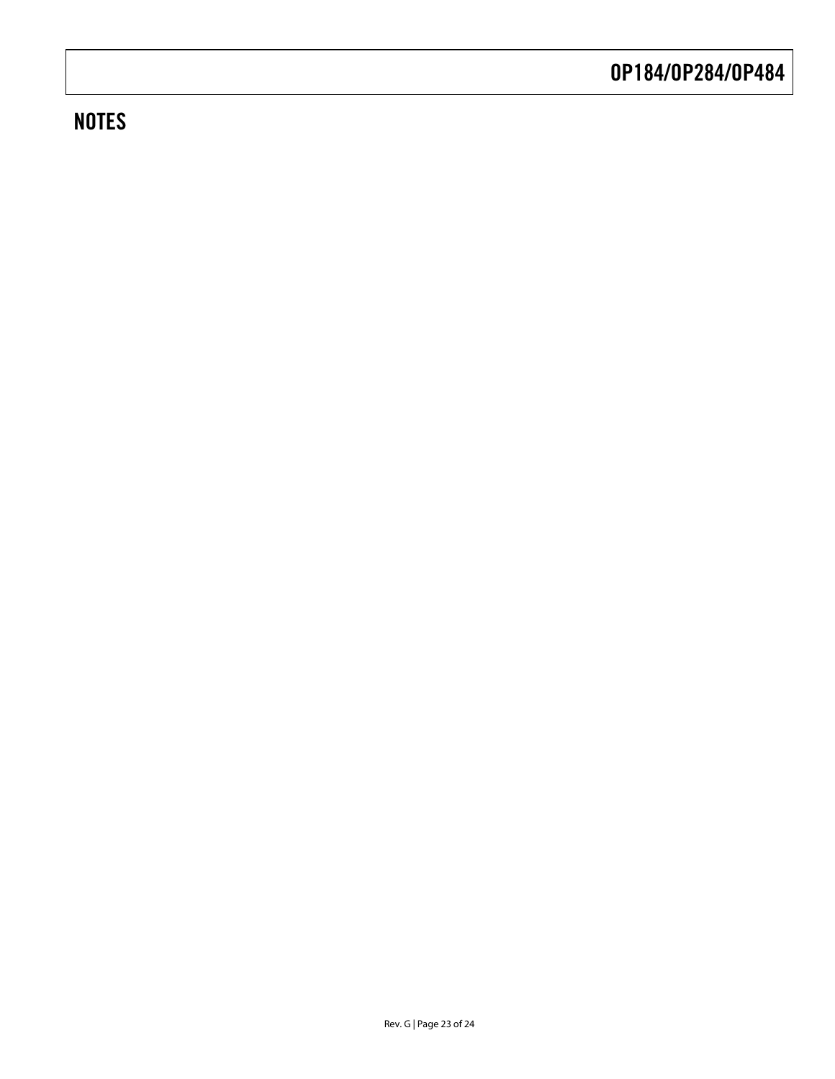# **NOTES**